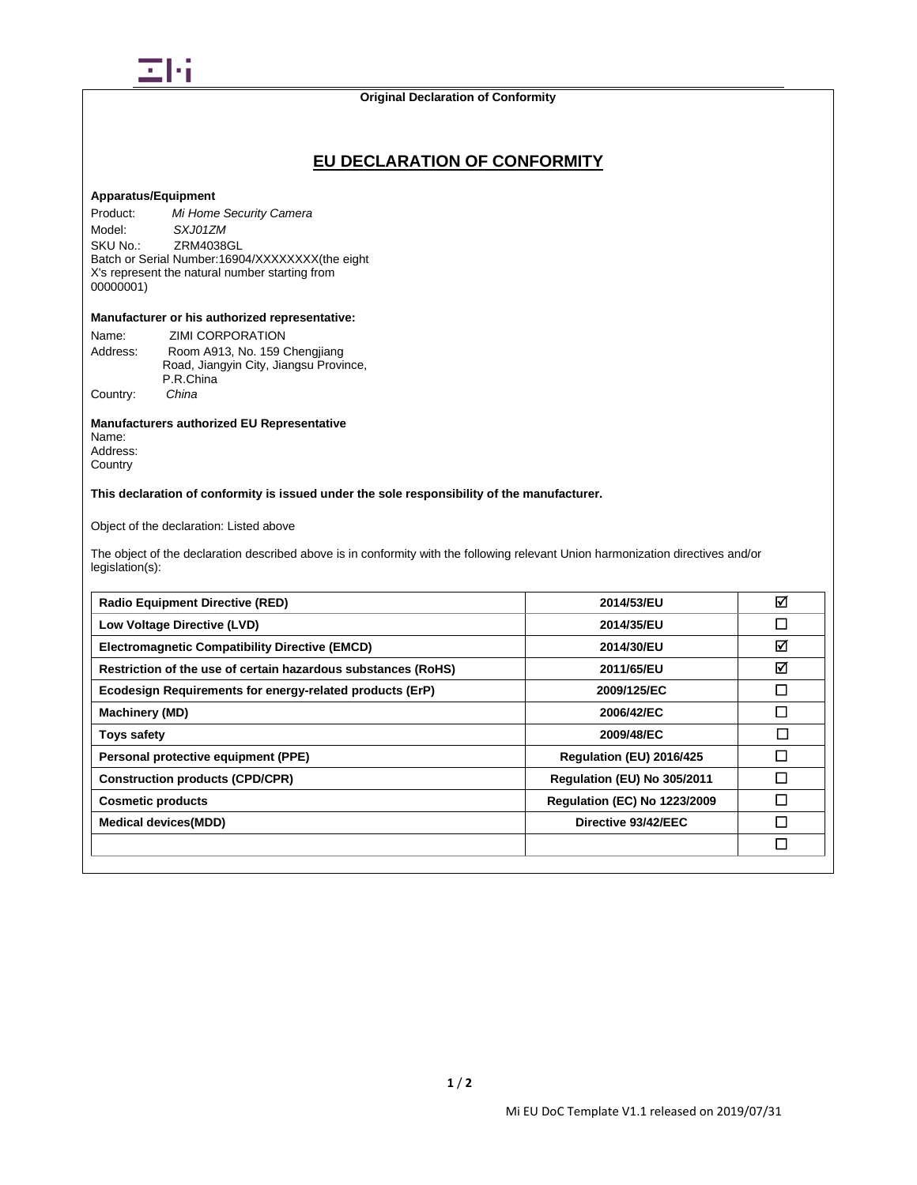

# **EU DECLARATION OF CONFORMITY**

# **Apparatus/Equipment**

Product: *Mi Home Security Camera* Model: *SXJ01ZM*<br>SKU No.: **ZRM40380** ZRM4038GL Batch or Serial Number:16904/XXXXXXXX(the eight X's represent the natural number starting from 00000001)

### **Manufacturer or his authorized representative:**

| Name:    | <b>ZIMI CORPORATION</b>                |
|----------|----------------------------------------|
| Address: | Room A913, No. 159 Chengjiang          |
|          | Road, Jiangyin City, Jiangsu Province, |
|          | P.R.China                              |
| Country: | China                                  |

# **Manufacturers authorized EU Representative**

Name: Address: **Country** 

**This declaration of conformity is issued under the sole responsibility of the manufacturer.**

Object of the declaration: Listed above

The object of the declaration described above is in conformity with the following relevant Union harmonization directives and/or legislation(s):

| <b>Radio Equipment Directive (RED)</b>                        | 2014/53/EU                          | ☑      |
|---------------------------------------------------------------|-------------------------------------|--------|
| Low Voltage Directive (LVD)                                   | 2014/35/EU                          | □      |
| <b>Electromagnetic Compatibility Directive (EMCD)</b>         | 2014/30/EU                          | ☑      |
| Restriction of the use of certain hazardous substances (RoHS) | 2011/65/EU                          | ☑      |
| Ecodesign Requirements for energy-related products (ErP)      | 2009/125/EC                         | □      |
| <b>Machinery (MD)</b>                                         | 2006/42/EC                          | П      |
| <b>Toys safety</b>                                            | 2009/48/EC                          | $\Box$ |
| Personal protective equipment (PPE)                           | Regulation (EU) 2016/425            | П      |
| <b>Construction products (CPD/CPR)</b>                        | Regulation (EU) No 305/2011         | П      |
| <b>Cosmetic products</b>                                      | <b>Requlation (EC) No 1223/2009</b> | П      |
| <b>Medical devices(MDD)</b>                                   | Directive 93/42/EEC                 | П      |
|                                                               |                                     | П      |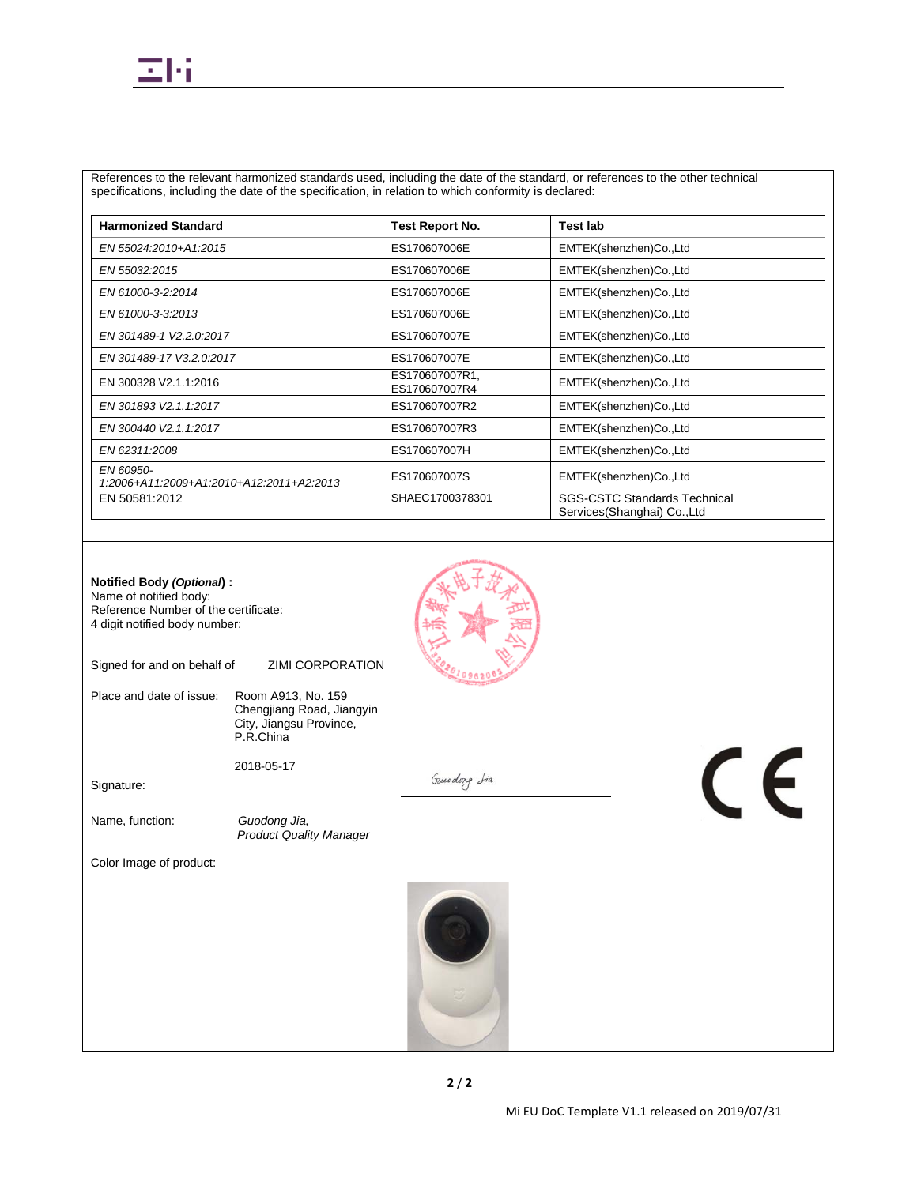

References to the relevant harmonized standards used, including the date of the standard, or references to the other technical specifications, including the date of the specification, in relation to which conformity is declared:

| <b>Harmonized Standard</b>                            | <b>Test Report No.</b>          | <b>Test lab</b>                                                     |
|-------------------------------------------------------|---------------------------------|---------------------------------------------------------------------|
| EN 55024:2010+A1:2015                                 | ES170607006E                    | EMTEK(shenzhen)Co.,Ltd                                              |
| EN 55032:2015                                         | ES170607006E                    | EMTEK(shenzhen)Co.,Ltd                                              |
| EN 61000-3-2:2014                                     | ES170607006E                    | EMTEK(shenzhen)Co.,Ltd                                              |
| EN 61000-3-3:2013                                     | ES170607006E                    | EMTEK(shenzhen)Co.,Ltd                                              |
| EN 301489-1 V2.2.0:2017                               | ES170607007E                    | EMTEK(shenzhen)Co.,Ltd                                              |
| EN 301489-17 V3.2.0:2017                              | ES170607007E                    | EMTEK(shenzhen)Co.,Ltd                                              |
| EN 300328 V2.1.1:2016                                 | ES170607007R1,<br>ES170607007R4 | EMTEK(shenzhen)Co.,Ltd                                              |
| EN 301893 V2.1.1:2017                                 | ES170607007R2                   | EMTEK(shenzhen)Co.,Ltd                                              |
| EN 300440 V2.1.1:2017                                 | ES170607007R3                   | EMTEK(shenzhen)Co.,Ltd                                              |
| EN 62311:2008                                         | ES170607007H                    | EMTEK(shenzhen)Co.,Ltd                                              |
| EN 60950-<br>1:2006+A11:2009+A1:2010+A12:2011+A2:2013 | ES170607007S                    | EMTEK(shenzhen)Co.,Ltd                                              |
| EN 50581:2012                                         | SHAEC1700378301                 | <b>SGS-CSTC Standards Technical</b><br>Services (Shanghai) Co., Ltd |

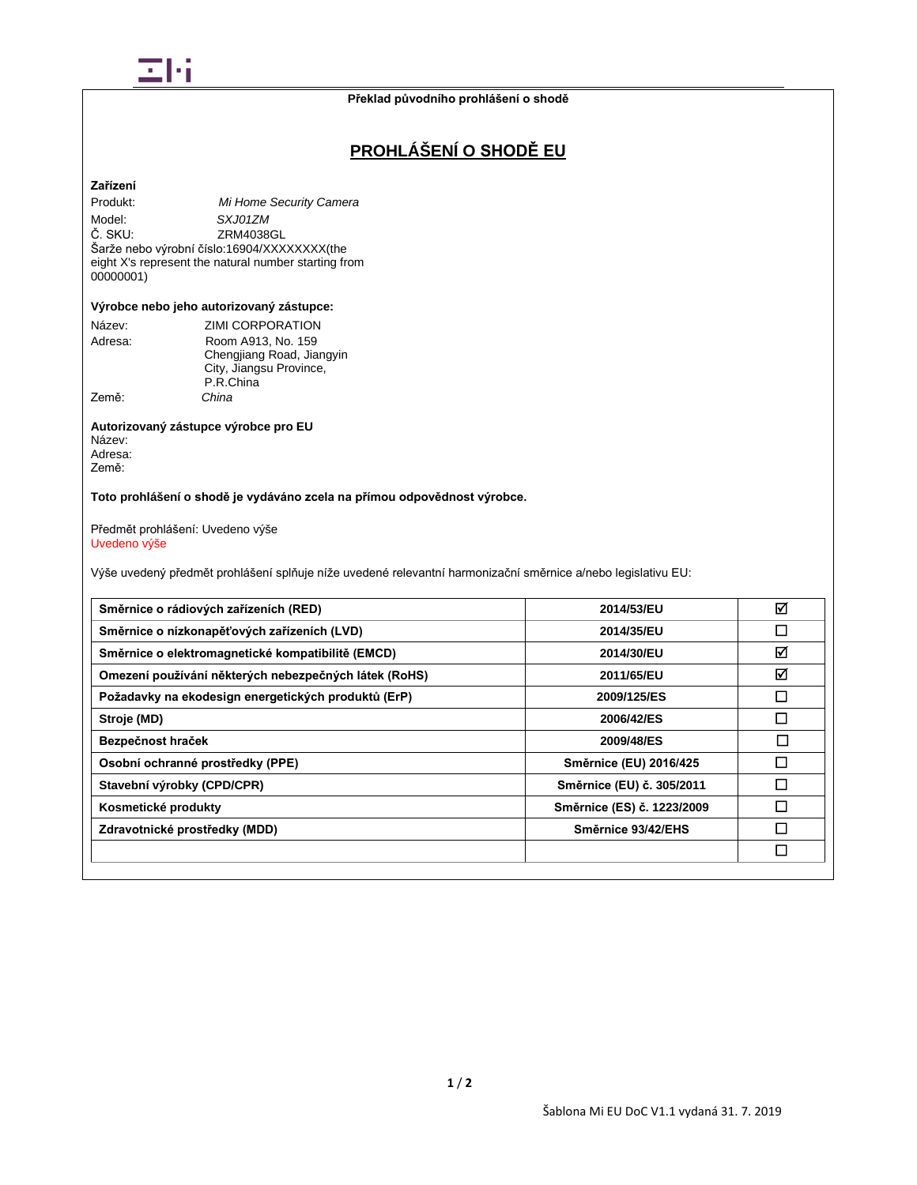

# **PROHLÁŠENÍ O SHODĚ EU**

# **Zařízení**

Produkt: *Mi Home Security Camera* Model: *SXJ01ZM* ZRM4038GL Šarže nebo výrobní číslo:16904/XXXXXXXX(the eight X's represent the natural number starting from 00000001)

#### **Výrobce nebo jeho autorizovaný zástupce:**

| Název:  | ZIMI CORPORATION          |
|---------|---------------------------|
| Adresa: | Room A913, No. 159        |
|         | Chengjiang Road, Jiangyin |
|         | City, Jiangsu Province,   |
|         | P.R.China                 |
| Země:   | China                     |

#### **Autorizovaný zástupce výrobce pro EU** Název: Adresa: Země:

**Toto prohlášení o shodě je vydáváno zcela na přímou odpovědnost výrobce.**

Předmět prohlášení: Uvedeno výše Uvedeno výše

Výše uvedený předmět prohlášení splňuje níže uvedené relevantní harmonizační směrnice a/nebo legislativu EU:

| Směrnice o rádiových zařízeních (RED)                 | 2014/53/EU                 | ☑      |
|-------------------------------------------------------|----------------------------|--------|
| Směrnice o nízkonapěťových zařízeních (LVD)           | 2014/35/EU                 | П      |
| Směrnice o elektromagnetické kompatibilitě (EMCD)     | 2014/30/EU                 | ☑      |
| Omezení používání některých nebezpečných látek (RoHS) | 2011/65/EU                 | ☑      |
| Požadavky na ekodesign energetických produktů (ErP)   | 2009/125/ES                | П      |
| Stroje (MD)                                           | 2006/42/ES                 |        |
| Bezpečnost hraček                                     | 2009/48/ES                 | $\Box$ |
| Osobní ochranné prostředky (PPE)                      | Směrnice (EU) 2016/425     | П      |
| Stavební výrobky (CPD/CPR)                            | Směrnice (EU) č. 305/2011  | П      |
| Kosmetické produkty                                   | Směrnice (ES) č. 1223/2009 | П      |
| Zdravotnické prostředky (MDD)                         | Směrnice 93/42/EHS         | П      |
|                                                       |                            | П      |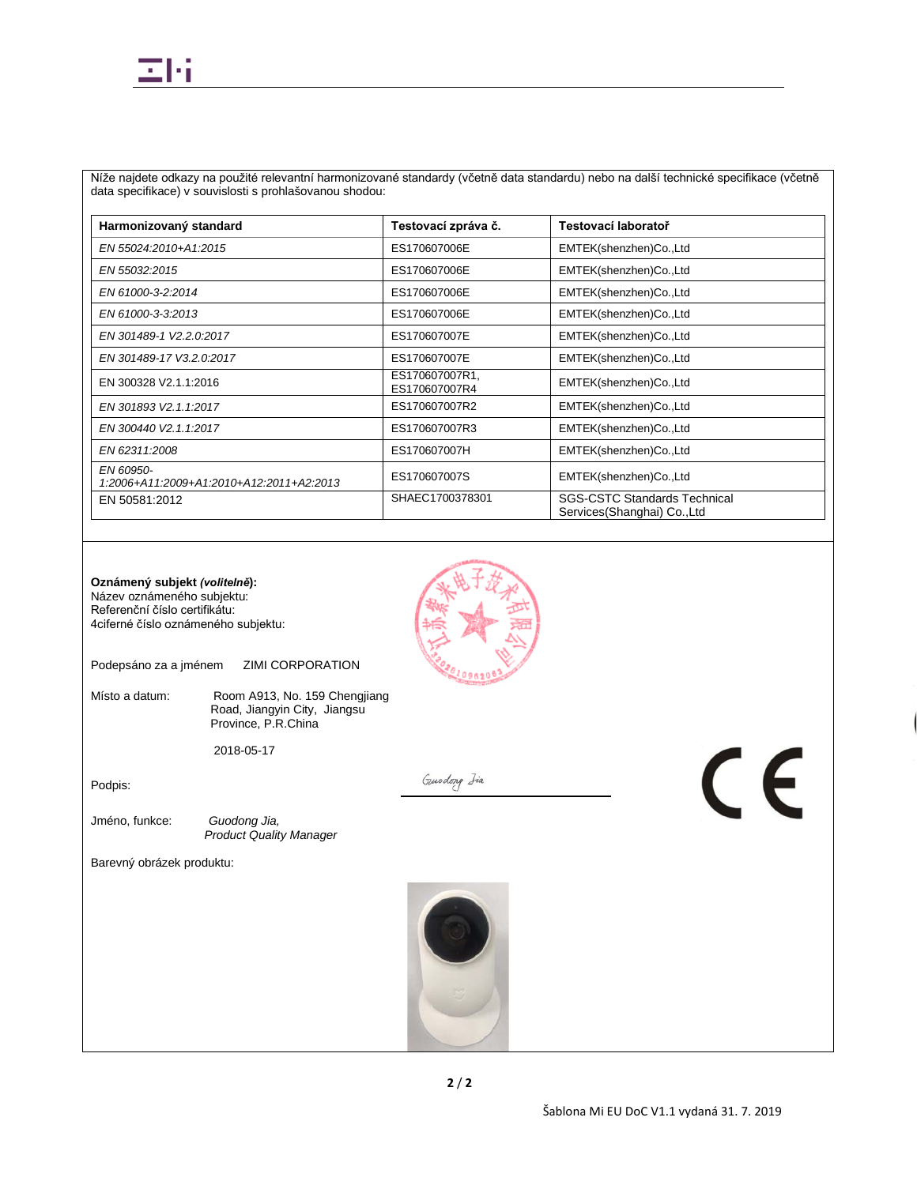

Níže najdete odkazy na použité relevantní harmonizované standardy (včetně data standardu) nebo na další technické specifikace (včetně data specifikace) v souvislosti s prohlašovanou shodou:

| Harmonizovaný standard                                | Testovací zpráva č.             | Testovací laboratoř                                                 |
|-------------------------------------------------------|---------------------------------|---------------------------------------------------------------------|
| EN 55024:2010+A1:2015                                 | ES170607006E                    | EMTEK(shenzhen)Co.,Ltd                                              |
| EN 55032:2015                                         | ES170607006E                    | EMTEK(shenzhen)Co.,Ltd                                              |
| EN 61000-3-2:2014                                     | ES170607006E                    | EMTEK(shenzhen)Co.,Ltd                                              |
| EN 61000-3-3:2013                                     | ES170607006E                    | EMTEK(shenzhen)Co.,Ltd                                              |
| EN 301489-1 V2.2.0:2017                               | ES170607007E                    | EMTEK(shenzhen)Co.,Ltd                                              |
| EN 301489-17 V3.2.0:2017                              | ES170607007E                    | EMTEK(shenzhen)Co.,Ltd                                              |
| EN 300328 V2.1.1:2016                                 | ES170607007R1,<br>ES170607007R4 | EMTEK(shenzhen)Co.,Ltd                                              |
| EN 301893 V2.1.1:2017                                 | ES170607007R2                   | EMTEK(shenzhen)Co.,Ltd                                              |
| EN 300440 V2.1.1:2017                                 | ES170607007R3                   | EMTEK(shenzhen)Co.,Ltd                                              |
| EN 62311:2008                                         | ES170607007H                    | EMTEK(shenzhen)Co.,Ltd                                              |
| EN 60950-<br>1:2006+A11:2009+A1:2010+A12:2011+A2:2013 | ES170607007S                    | EMTEK(shenzhen)Co.,Ltd                                              |
| EN 50581:2012                                         | SHAEC1700378301                 | <b>SGS-CSTC Standards Technical</b><br>Services (Shanghai) Co., Ltd |

**Oznámený subjekt** *(volitelně***):** Název oznámeného subjektu: Referenční číslo certifikátu: 4ciferné číslo oznámeného subjektu:

Podepsáno za a jménem ZIMI CORPORATION

Místo a datum: Room A913, No. 159 Chengjiang Road, Jiangyin City, Jiangsu Province, P.R.China

2018-05-17

Podpis:

Gundong Isa

Jméno, funkce: *Guodong Jia, Product Quality Manager*

Barevný obrázek produktu:



 $\epsilon$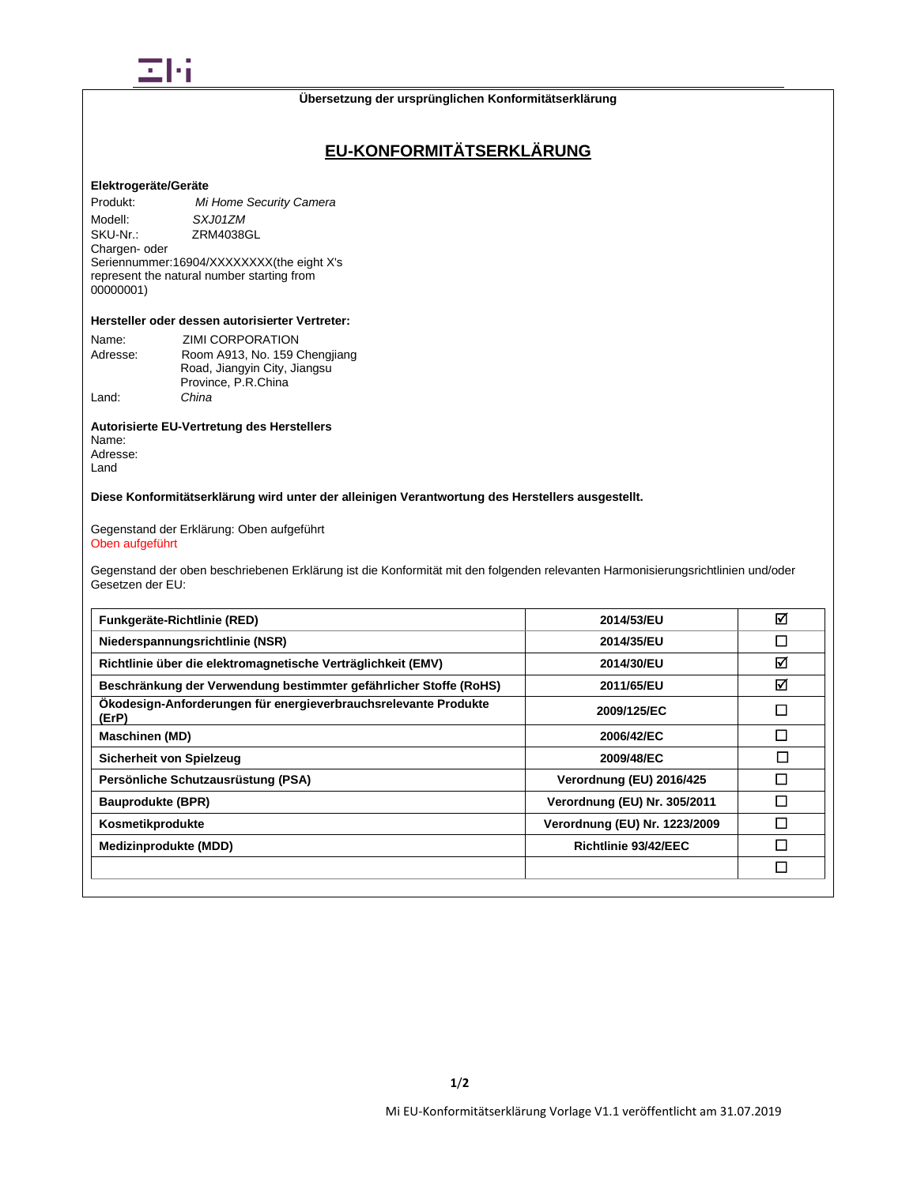

# **EU-KONFORMITÄTSERKLÄRUNG**

## **Elektrogeräte/Geräte**

Produkt: *Mi Home Security Camera* Modell: *SXJ01ZM*<br>SKU-Nr.: **ZRM40380** ZRM4038GL Chargen- oder Seriennummer:16904/XXXXXXXX(the eight X's represent the natural number starting from 00000001)

# **Hersteller oder dessen autorisierter Vertreter:**

| Name:    | <b>ZIMI CORPORATION</b>       |
|----------|-------------------------------|
| Adresse: | Room A913, No. 159 Chengjiang |
|          | Road, Jiangyin City, Jiangsu  |
|          | Province, P.R.China           |
| Land:    | China                         |

## **Autorisierte EU-Vertretung des Herstellers**

Name: Adresse: Land

**Diese Konformitätserklärung wird unter der alleinigen Verantwortung des Herstellers ausgestellt.**

Gegenstand der Erklärung: Oben aufgeführt Oben aufgeführt

Gegenstand der oben beschriebenen Erklärung ist die Konformität mit den folgenden relevanten Harmonisierungsrichtlinien und/oder Gesetzen der EU:

| Funkgeräte-Richtlinie (RED)                                              | 2014/53/EU                    | ☑            |
|--------------------------------------------------------------------------|-------------------------------|--------------|
| Niederspannungsrichtlinie (NSR)                                          | 2014/35/EU                    | П            |
| Richtlinie über die elektromagnetische Verträglichkeit (EMV)             | 2014/30/EU                    | ☑            |
| Beschränkung der Verwendung bestimmter gefährlicher Stoffe (RoHS)        | 2011/65/EU                    | ☑            |
| Ökodesign-Anforderungen für energieverbrauchsrelevante Produkte<br>(ErP) | 2009/125/EC                   | $\mathsf{L}$ |
| <b>Maschinen (MD)</b>                                                    | 2006/42/EC                    | П            |
| Sicherheit von Spielzeug                                                 | 2009/48/EC                    | П            |
| Persönliche Schutzausrüstung (PSA)                                       | Verordnung (EU) 2016/425      | П            |
| <b>Bauprodukte (BPR)</b>                                                 | Verordnung (EU) Nr. 305/2011  | $\mathsf{L}$ |
| Kosmetikprodukte                                                         | Verordnung (EU) Nr. 1223/2009 |              |
| Medizinprodukte (MDD)                                                    | Richtlinie 93/42/EEC          |              |
|                                                                          |                               | П            |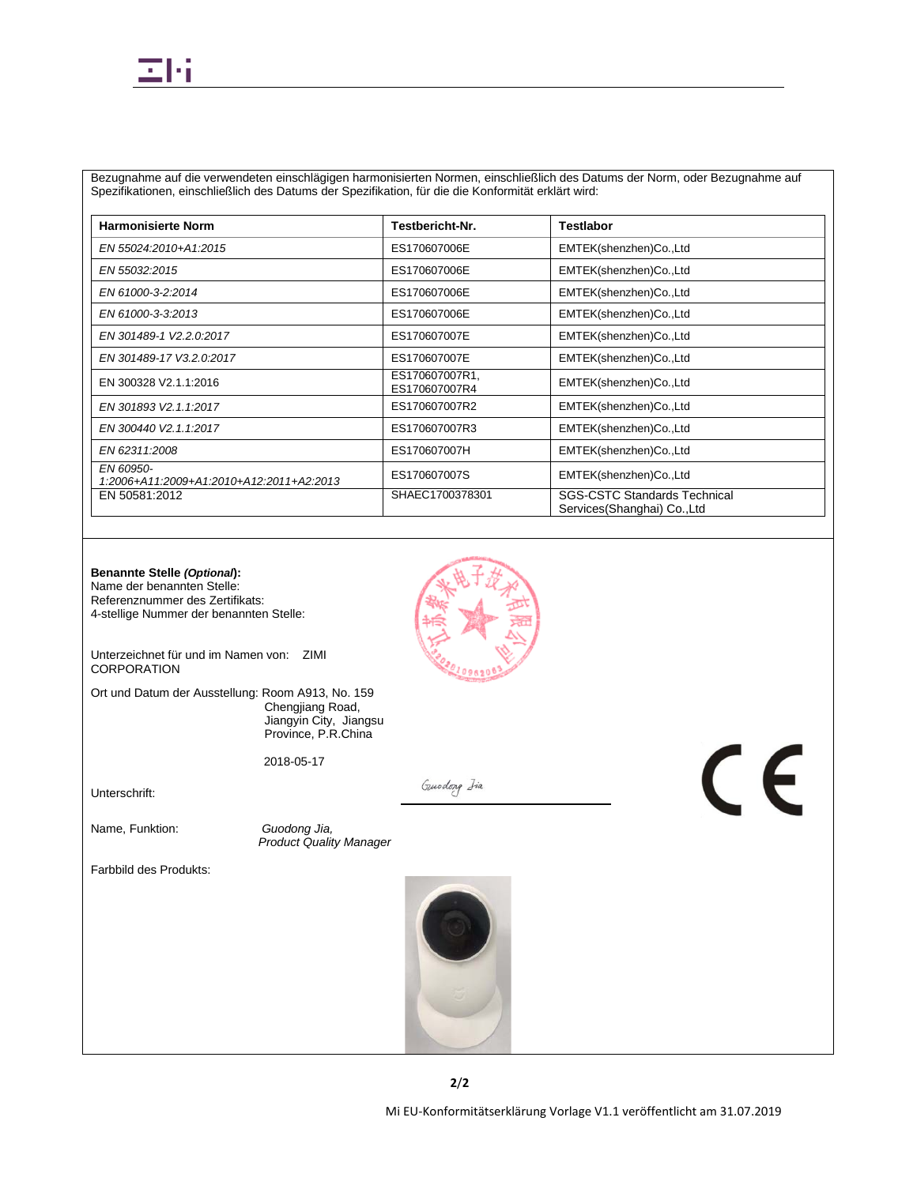Bezugnahme auf die verwendeten einschlägigen harmonisierten Normen, einschließlich des Datums der Norm, oder Bezugnahme auf Spezifikationen, einschließlich des Datums der Spezifikation, für die die Konformität erklärt wird:

| <b>Harmonisierte Norm</b>                             | Testbericht-Nr.                 | <b>Testlabor</b>                                                    |
|-------------------------------------------------------|---------------------------------|---------------------------------------------------------------------|
| EN 55024:2010+A1:2015                                 | ES170607006E                    | EMTEK(shenzhen)Co.,Ltd                                              |
| EN 55032:2015                                         | ES170607006E                    | EMTEK(shenzhen)Co.,Ltd                                              |
| EN 61000-3-2:2014                                     | ES170607006E                    | EMTEK(shenzhen)Co.,Ltd                                              |
| EN 61000-3-3:2013                                     | ES170607006E                    | EMTEK(shenzhen)Co.,Ltd                                              |
| EN 301489-1 V2.2.0:2017                               | ES170607007E                    | EMTEK(shenzhen)Co.,Ltd                                              |
| EN 301489-17 V3.2.0:2017                              | ES170607007E                    | EMTEK(shenzhen)Co.,Ltd                                              |
| EN 300328 V2.1.1:2016                                 | ES170607007R1,<br>ES170607007R4 | EMTEK(shenzhen)Co.,Ltd                                              |
| EN 301893 V2.1.1:2017                                 | ES170607007R2                   | EMTEK(shenzhen)Co.,Ltd                                              |
| EN 300440 V2.1.1:2017                                 | ES170607007R3                   | EMTEK(shenzhen)Co.,Ltd                                              |
| EN 62311:2008                                         | ES170607007H                    | EMTEK(shenzhen)Co.,Ltd                                              |
| EN 60950-<br>1:2006+A11:2009+A1:2010+A12:2011+A2:2013 | ES170607007S                    | EMTEK(shenzhen)Co.,Ltd                                              |
| EN 50581:2012                                         | SHAEC1700378301                 | <b>SGS-CSTC Standards Technical</b><br>Services (Shanghai) Co., Ltd |

### **Benannte Stelle** *(Optional***):**

Name der benannten Stelle: Referenznummer des Zertifikats: 4-stellige Nummer der benannten Stelle:

Unterzeichnet für und im Namen von: ZIMI **CORPORATION** 

Ort und Datum der Ausstellung: Room A913, No. 159 Chengjiang Road, Jiangyin City, Jiangsu Province, P.R.China

2018-05-17

Unterschrift:

Name, Funktion: *Guodong Jia,* 

*Product Quality Manager*

Farbbild des Produkts:



Gunodong Iia

 $\epsilon$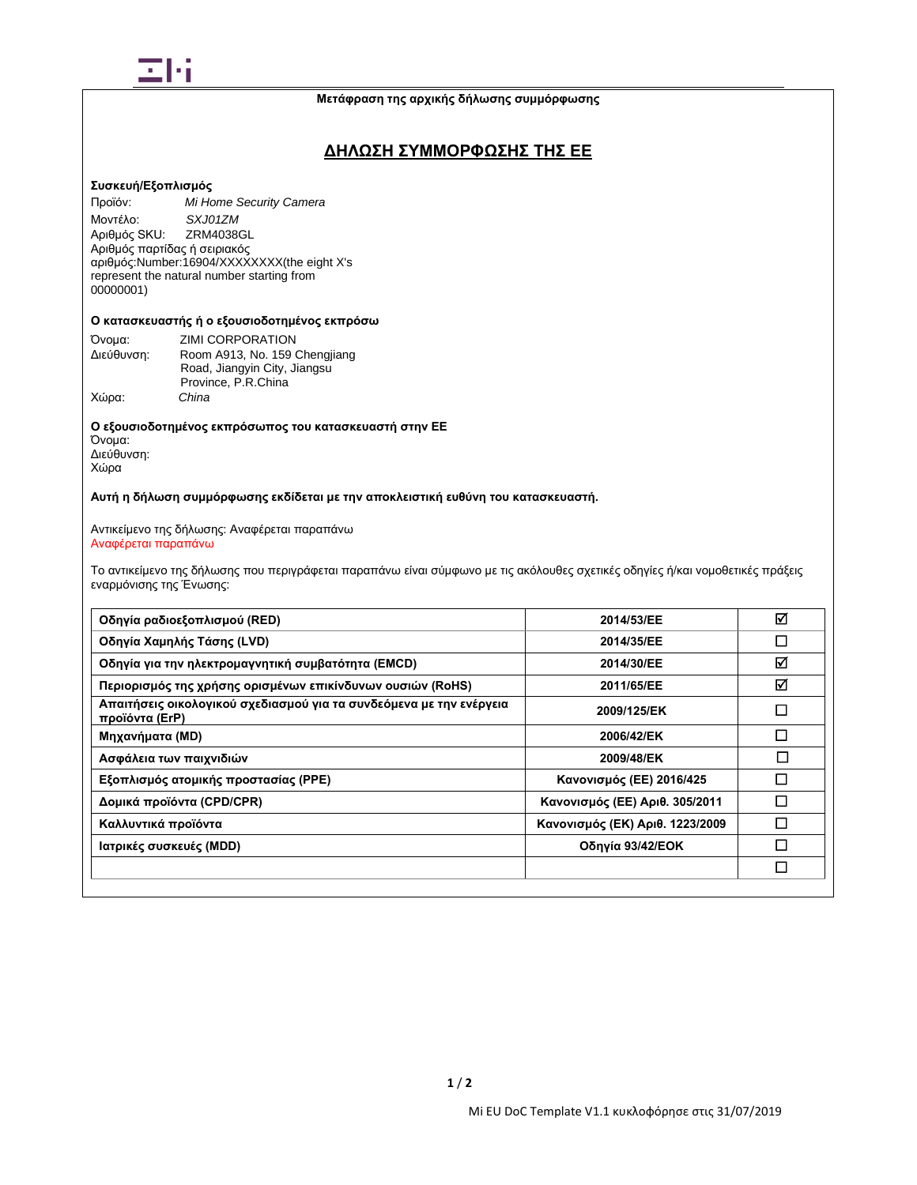

# **ΔΗΛΩΣΗ ΣΥΜΜΟΡΦΩΣΗΣ ΤΗΣ ΕΕ**

### **Συσκευή/Εξοπλισμός**

Προϊόν: *Mi Home Security Camera* Μοντέλο: *SXJ01ZM* Αριθμός SKU: ZRM4038GL Αριθμός παρτίδας ή σειριακός αριθμός:Number:16904/XXXXXXXX(the eight X's represent the natural number starting from 00000001)

# Ο κατασκευαστής ή ο εξουσιοδοτημένος εκπρόσω

| Όνομα:     | ZIMI CORPORATION                                              |
|------------|---------------------------------------------------------------|
| Διεύθυνση: | Room A913, No. 159 Chengjiang<br>Road, Jiangyin City, Jiangsu |
|            | Province, P.R.China                                           |
| Χώρα:      | China                                                         |

**Ο εξουσιοδοτημένος εκπρόσωπος του κατασκευαστή στην ΕΕ** Όνομα:

Διεύθυνση: Χώρα

**Αυτή η δήλωση συμμόρφωσης εκδίδεται με την αποκλειστική ευθύνη του κατασκευαστή.**

Αντικείμενο της δήλωσης: Αναφέρεται παραπάνω Αναφέρεται παραπάνω

Το αντικείμενο της δήλωσης που περιγράφεται παραπάνω είναι σύμφωνο με τις ακόλουθες σχετικές οδηγίες ή/και νομοθετικές πράξεις εναρμόνισης της Ένωσης:

| Οδηγία ραδιοεξοπλισμού (RED)                                                          | 2014/53/EE                      | ☑      |
|---------------------------------------------------------------------------------------|---------------------------------|--------|
| Οδηγία Χαμηλής Τάσης (LVD)                                                            | 2014/35/EE                      | □      |
| Οδηγία για την ηλεκτρομαγνητική συμβατότητα (EMCD)                                    | 2014/30/EE                      | ☑      |
| Περιορισμός της χρήσης ορισμένων επικίνδυνων ουσιών (RoHS)                            | 2011/65/EE                      | ☑      |
| Απαιτήσεις οικολογικού σχεδιασμού για τα συνδεόμενα με την ενέργεια<br>προϊόντα (ErP) | 2009/125/EK                     | П      |
| Μηχανήματα (MD)                                                                       | 2006/42/EK                      | П      |
| Ασφάλεια των παιχνιδιών                                                               | 2009/48/EK                      | $\Box$ |
| Εξοπλισμός ατομικής προστασίας (PPE)                                                  | Κανονισμός (ΕΕ) 2016/425        | П      |
| Δομικά προϊόντα (CPD/CPR)                                                             | Κανονισμός (ΕΕ) Αριθ. 305/2011  | П      |
| Καλλυντικά προϊόντα                                                                   | Κανονισμός (ΕΚ) Αριθ. 1223/2009 |        |
| Ιατρικές συσκευές (MDD)                                                               | Οδηγία 93/42/ΕΟΚ                | П      |
|                                                                                       |                                 | □      |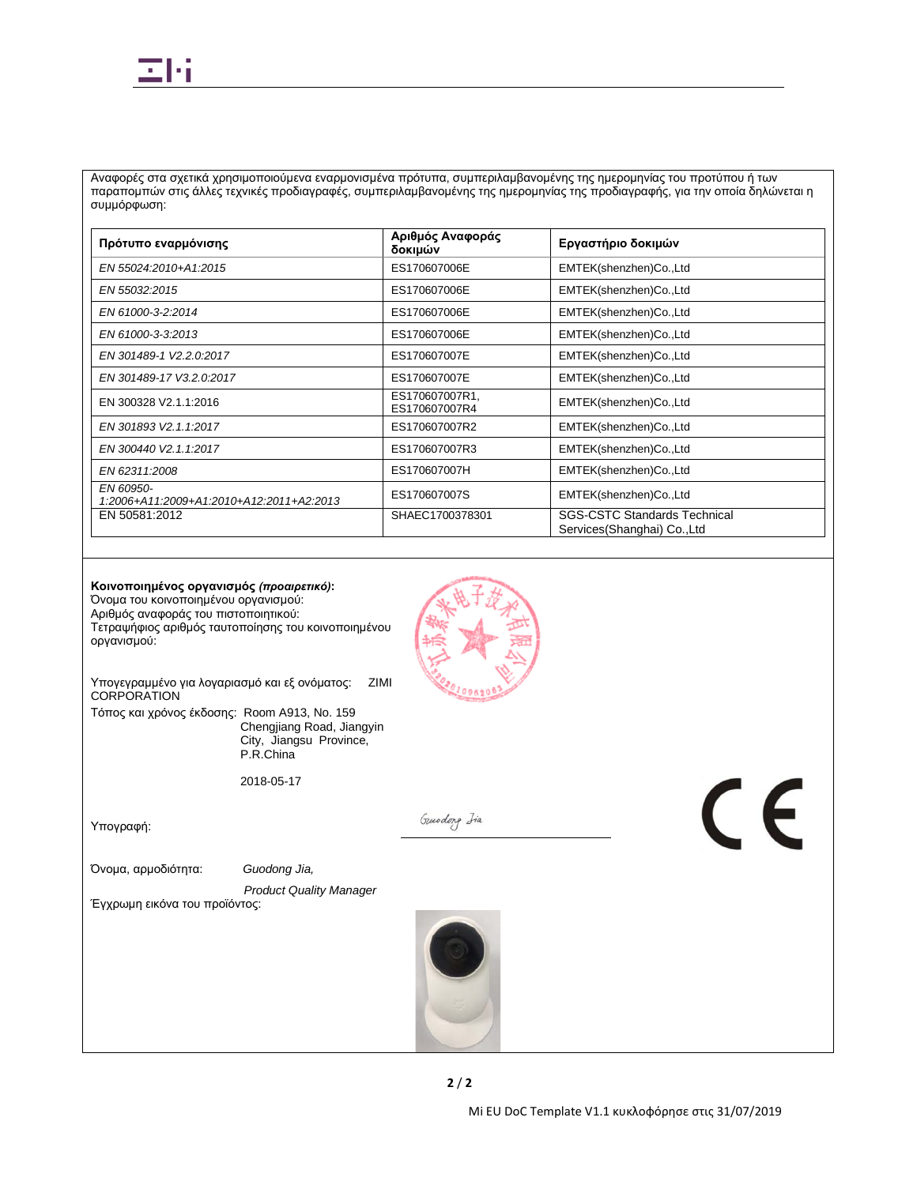

Αναφορές στα σχετικά χρησιμοποιούμενα εναρμονισμένα πρότυπα, συμπεριλαμβανομένης της ημερομηνίας του προτύπου ή των παραπομπών στις άλλες τεχνικές προδιαγραφές, συμπεριλαμβανομένης της ημερομηνίας της προδιαγραφής, για την οποία δηλώνεται η συμμόρφωση:

| Πρότυπο εναρμόνισης                                   | Αριθμός Αναφοράς<br>δοκιμών     | Εργαστήριο δοκιμών                                                  |
|-------------------------------------------------------|---------------------------------|---------------------------------------------------------------------|
| EN 55024:2010+A1:2015                                 | ES170607006E                    | EMTEK(shenzhen)Co.,Ltd                                              |
| EN 55032:2015                                         | ES170607006E                    | EMTEK(shenzhen)Co.,Ltd                                              |
| EN 61000-3-2:2014                                     | ES170607006E                    | EMTEK(shenzhen)Co.,Ltd                                              |
| EN 61000-3-3:2013                                     | ES170607006E                    | EMTEK(shenzhen)Co.,Ltd                                              |
| EN 301489-1 V2.2.0:2017                               | ES170607007E                    | EMTEK(shenzhen)Co.,Ltd                                              |
| EN 301489-17 V3.2.0:2017                              | ES170607007E                    | EMTEK(shenzhen)Co.,Ltd                                              |
| EN 300328 V2.1.1:2016                                 | ES170607007R1,<br>ES170607007R4 | EMTEK(shenzhen)Co.,Ltd                                              |
| EN 301893 V2.1.1:2017                                 | ES170607007R2                   | EMTEK(shenzhen)Co.,Ltd                                              |
| EN 300440 V2.1.1:2017                                 | ES170607007R3                   | EMTEK(shenzhen)Co.,Ltd                                              |
| EN 62311:2008                                         | ES170607007H                    | EMTEK(shenzhen)Co.,Ltd                                              |
| EN 60950-<br>1:2006+A11:2009+A1:2010+A12:2011+A2:2013 | ES170607007S                    | EMTEK(shenzhen)Co.,Ltd                                              |
| EN 50581:2012                                         | SHAEC1700378301                 | <b>SGS-CSTC Standards Technical</b><br>Services (Shanghai) Co., Ltd |

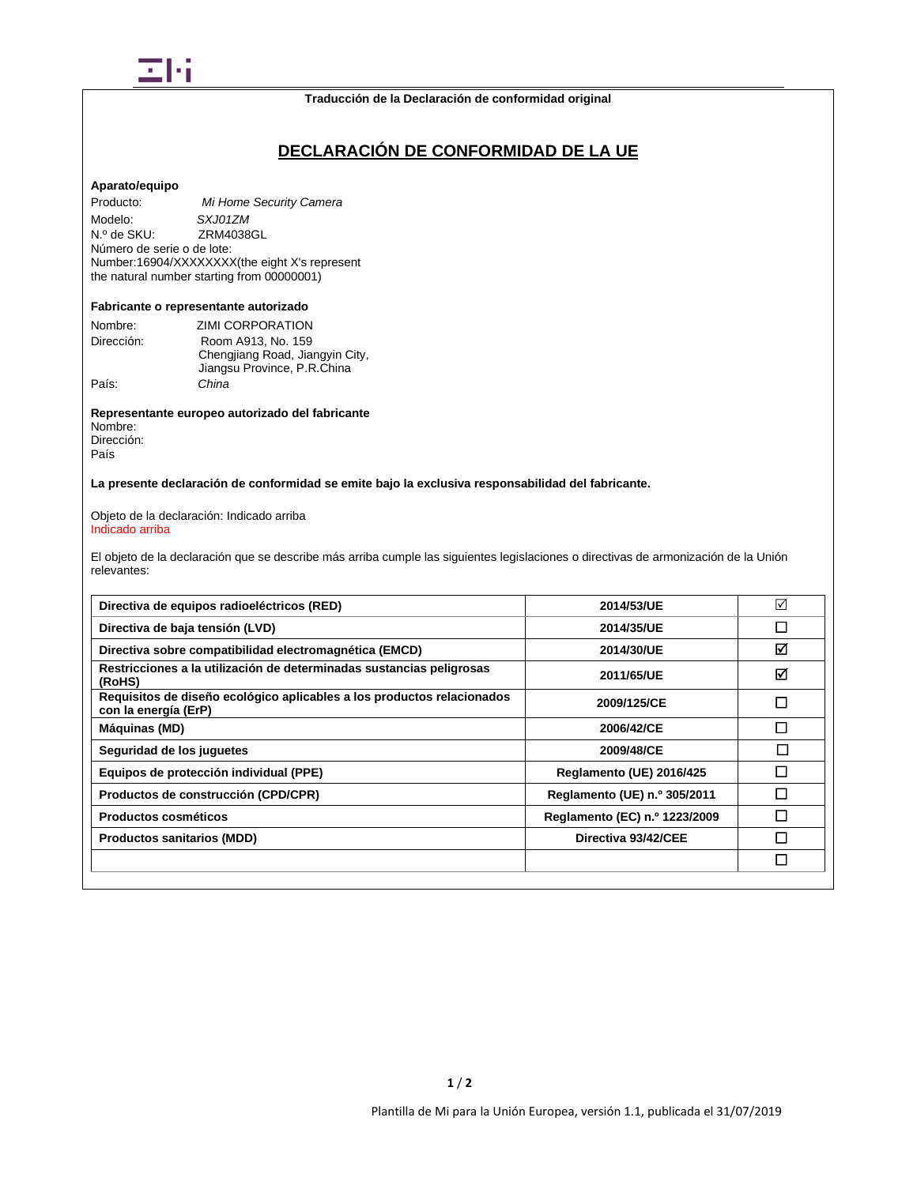

**Traducción de la Declaración de conformidad original**

# **DECLARACIÓN DE CONFORMIDAD DE LA UE**

#### **Aparato/equipo**

Producto: *Mi Home Security Camera* Modelo: *SXJ01ZM*<br>
N.º de SKU: ZRM4038 ZRM4038GL Número de serie o de lote: Number:16904/XXXXXXXX(the eight X's represent the natural number starting from 00000001)

# **Fabricante o representante autorizado**

| Nombre:<br>Dirección: | ZIMI CORPORATION<br>Room A913, No. 159                         |
|-----------------------|----------------------------------------------------------------|
|                       | Chengjiang Road, Jiangyin City,<br>Jiangsu Province, P.R.China |
| País:                 | China                                                          |

**Representante europeo autorizado del fabricante** Nombre: Dirección:

País

**La presente declaración de conformidad se emite bajo la exclusiva responsabilidad del fabricante.**

Objeto de la declaración: Indicado arriba Indicado arriba

El objeto de la declaración que se describe más arriba cumple las siguientes legislaciones o directivas de armonización de la Unión relevantes:

| Directiva de equipos radioeléctricos (RED)                                                     | 2014/53/UE                    | ☑      |
|------------------------------------------------------------------------------------------------|-------------------------------|--------|
| Directiva de baja tensión (LVD)                                                                | 2014/35/UE                    | П      |
| Directiva sobre compatibilidad electromagnética (EMCD)                                         | 2014/30/UE                    | ☑      |
| Restricciones a la utilización de determinadas sustancias peligrosas<br>(RoHS)                 | 2011/65/UE                    | ☑      |
| Requisitos de diseño ecológico aplicables a los productos relacionados<br>con la energía (ErP) | 2009/125/CE                   | П      |
| Máquinas (MD)                                                                                  | 2006/42/CE                    | П      |
| Seguridad de los juguetes                                                                      | 2009/48/CE                    | $\Box$ |
| Equipos de protección individual (PPE)                                                         | Reglamento (UE) 2016/425      | П      |
| Productos de construcción (CPD/CPR)                                                            | Reglamento (UE) n.º 305/2011  | П      |
| Productos cosméticos                                                                           | Reglamento (EC) n.º 1223/2009 | П      |
| <b>Productos sanitarios (MDD)</b>                                                              | Directiva 93/42/CEE           | П      |
|                                                                                                |                               | П      |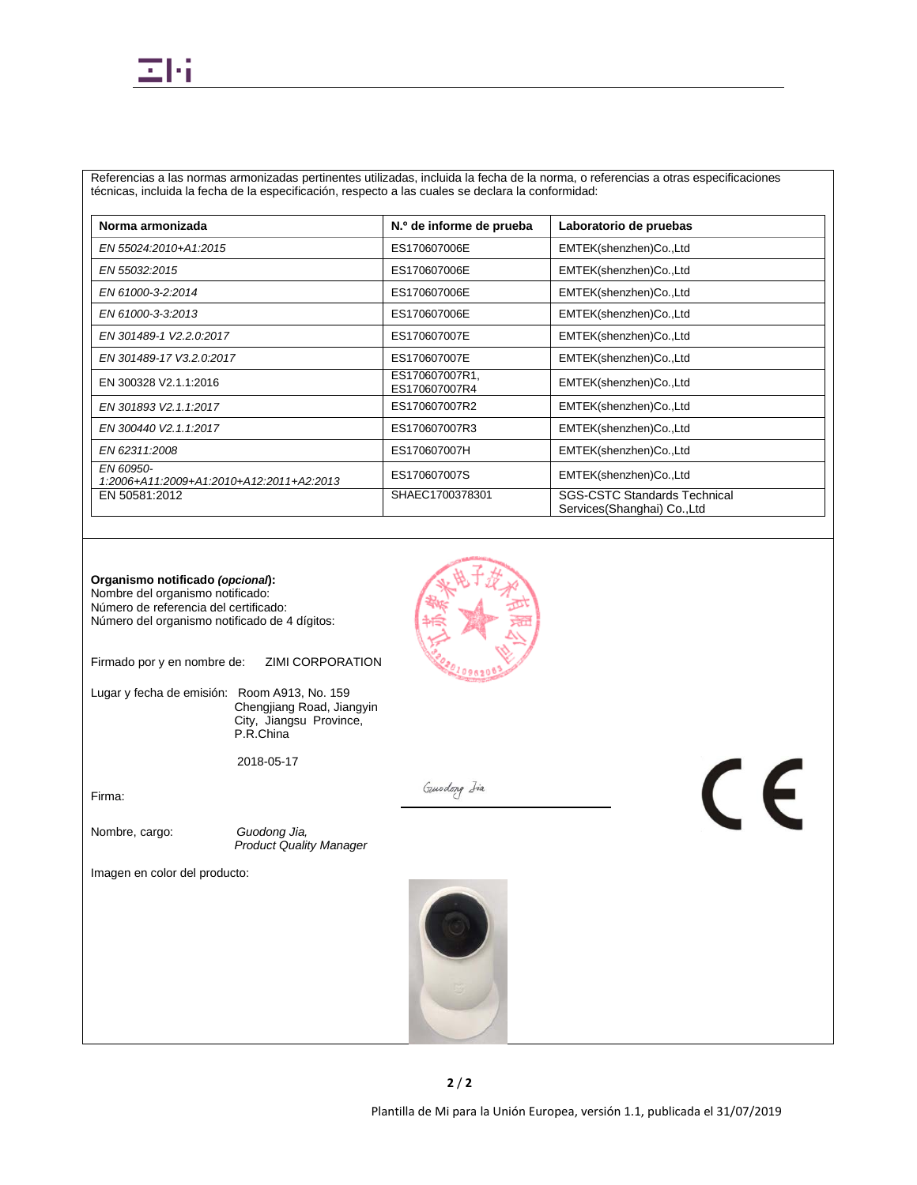Referencias a las normas armonizadas pertinentes utilizadas, incluida la fecha de la norma, o referencias a otras especificaciones técnicas, incluida la fecha de la especificación, respecto a las cuales se declara la conformidad:

| Norma armonizada                                      | N.º de informe de prueba        | Laboratorio de pruebas                                             |
|-------------------------------------------------------|---------------------------------|--------------------------------------------------------------------|
| EN 55024:2010+A1:2015                                 | ES170607006E                    | EMTEK(shenzhen)Co.,Ltd                                             |
| EN 55032:2015                                         | ES170607006E                    | EMTEK(shenzhen)Co.,Ltd                                             |
| EN 61000-3-2:2014                                     | ES170607006E                    | EMTEK(shenzhen)Co.,Ltd                                             |
| EN 61000-3-3:2013                                     | ES170607006E                    | EMTEK(shenzhen)Co.,Ltd                                             |
| EN 301489-1 V2.2.0:2017                               | ES170607007E                    | EMTEK(shenzhen)Co.,Ltd                                             |
| EN 301489-17 V3.2.0:2017                              | ES170607007E                    | EMTEK(shenzhen)Co.,Ltd                                             |
| EN 300328 V2.1.1:2016                                 | ES170607007R1,<br>ES170607007R4 | EMTEK(shenzhen)Co.,Ltd                                             |
| EN 301893 V2.1.1:2017                                 | ES170607007R2                   | EMTEK(shenzhen)Co.,Ltd                                             |
| EN 300440 V2.1.1:2017                                 | ES170607007R3                   | EMTEK(shenzhen)Co.,Ltd                                             |
| EN 62311:2008                                         | ES170607007H                    | EMTEK(shenzhen)Co.,Ltd                                             |
| EN 60950-<br>1:2006+A11:2009+A1:2010+A12:2011+A2:2013 | ES170607007S                    | EMTEK(shenzhen)Co.,Ltd                                             |
| EN 50581:2012                                         | SHAEC1700378301                 | <b>SGS-CSTC Standards Technical</b><br>Services(Shanghai) Co., Ltd |



Firmado por y en nombre de: ZIMI CORPORATION

Lugar y fecha de emisión: Room A913, No. 159 Chengjiang Road, Jiangyin City, Jiangsu Province, P.R.China

2018-05-17

Firma:

Nombre, cargo: *Guodong Jia, Product Quality Manager*

Imagen en color del producto:



Guodong Iia

 $\epsilon$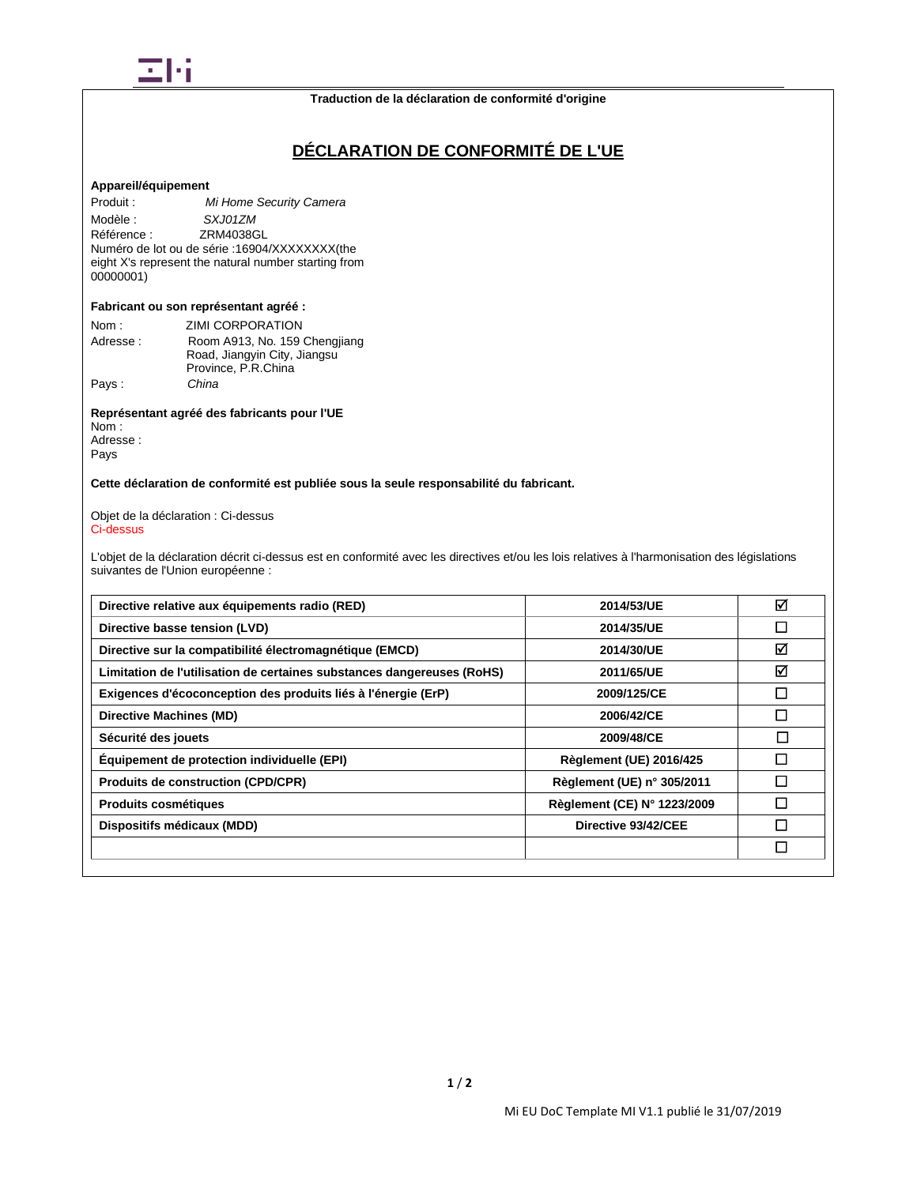

# **DÉCLARATION DE CONFORMITÉ DE L'UE**

## **Appareil/équipement**

Produit : *Mi Home Security Camera* Modèle : *SXJ01ZM*<br>Référence : **ZRM4038G** Référence : ZRM4038GL Numéro de lot ou de série :16904/XXXXXXXX(the eight X's represent the natural number starting from 00000001)

#### **Fabricant ou son représentant agréé :**

| Nom :    | ZIMI CORPORATION              |
|----------|-------------------------------|
| Adresse: | Room A913, No. 159 Chengjiang |
|          | Road, Jiangyin City, Jiangsu  |
|          | Province, P.R.China           |
| Pays:    | China                         |

# **Représentant agréé des fabricants pour l'UE**

Nom : Adresse : Pays

## **Cette déclaration de conformité est publiée sous la seule responsabilité du fabricant.**

#### Objet de la déclaration : Ci-dessus Ci-dessus

L'objet de la déclaration décrit ci-dessus est en conformité avec les directives et/ou les lois relatives à l'harmonisation des législations suivantes de l'Union européenne :

| Directive relative aux équipements radio (RED)                         | 2014/53/UE                     | ☑      |
|------------------------------------------------------------------------|--------------------------------|--------|
| Directive basse tension (LVD)                                          | 2014/35/UE                     | □      |
| Directive sur la compatibilité électromagnétique (EMCD)                | 2014/30/UE                     | ☑      |
| Limitation de l'utilisation de certaines substances dangereuses (RoHS) | 2011/65/UE                     | ☑      |
| Exigences d'écoconception des produits liés à l'énergie (ErP)          | 2009/125/CE                    | $\Box$ |
| Directive Machines (MD)                                                | 2006/42/CE                     | П      |
| Sécurité des jouets                                                    | 2009/48/CE                     | П      |
| Equipement de protection individuelle (EPI)                            | <b>Règlement (UE) 2016/425</b> | □      |
| <b>Produits de construction (CPD/CPR)</b>                              | Règlement (UE) n° 305/2011     | П      |
| Produits cosmétiques                                                   | Règlement (CE) N° 1223/2009    | П      |
| Dispositifs médicaux (MDD)                                             | Directive 93/42/CEE            | П      |
|                                                                        |                                | □      |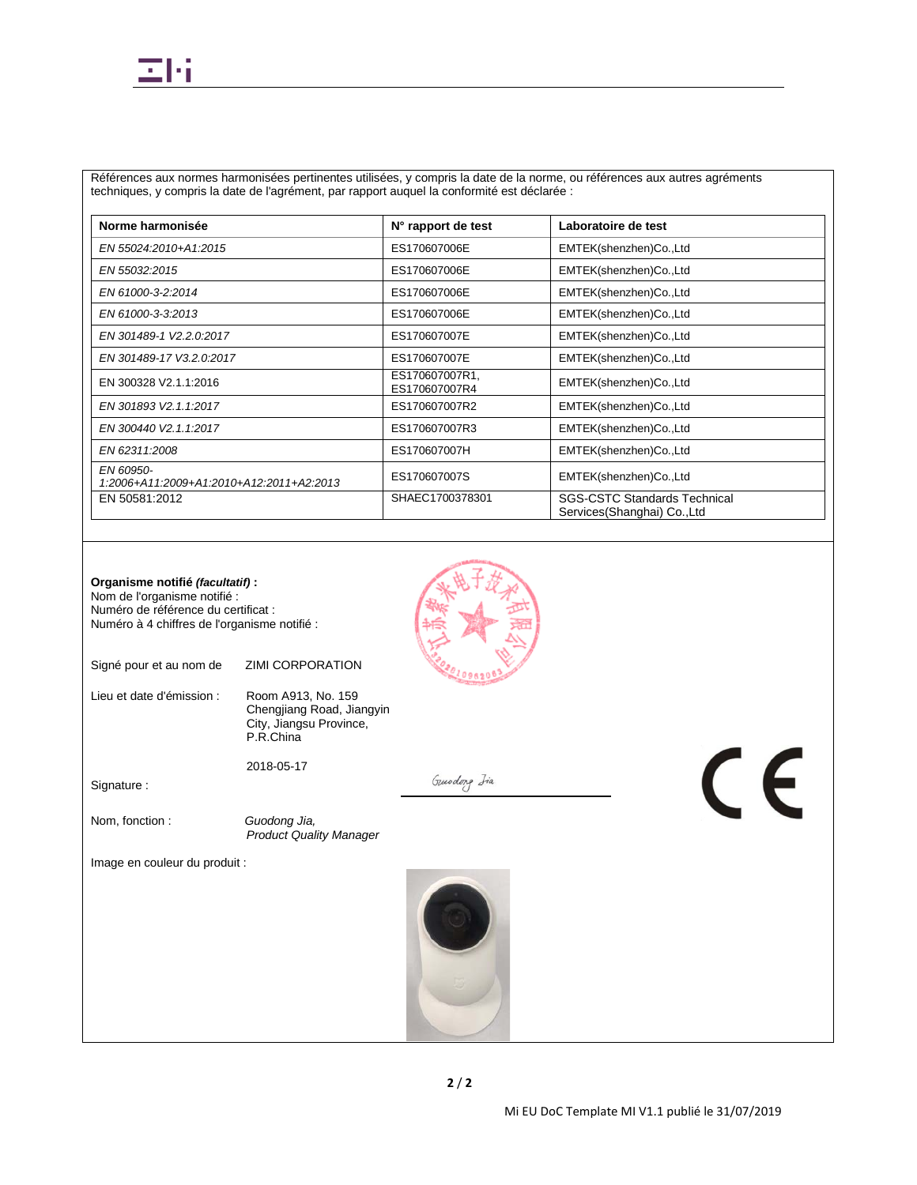

Références aux normes harmonisées pertinentes utilisées, y compris la date de la norme, ou références aux autres agréments techniques, y compris la date de l'agrément, par rapport auquel la conformité est déclarée :

| Norme harmonisée                                      | N° rapport de test              | Laboratoire de test                                                |
|-------------------------------------------------------|---------------------------------|--------------------------------------------------------------------|
| EN 55024:2010+A1:2015                                 | ES170607006E                    | EMTEK(shenzhen)Co.,Ltd                                             |
| EN 55032:2015                                         | ES170607006E                    | EMTEK(shenzhen)Co.,Ltd                                             |
| EN 61000-3-2:2014                                     | ES170607006E                    | EMTEK(shenzhen)Co.,Ltd                                             |
| EN 61000-3-3:2013                                     | ES170607006E                    | EMTEK(shenzhen)Co.,Ltd                                             |
| EN 301489-1 V2.2.0:2017                               | ES170607007E                    | EMTEK(shenzhen)Co.,Ltd                                             |
| EN 301489-17 V3.2.0:2017                              | ES170607007E                    | EMTEK(shenzhen)Co.,Ltd                                             |
| EN 300328 V2.1.1:2016                                 | ES170607007R1,<br>ES170607007R4 | EMTEK(shenzhen)Co.,Ltd                                             |
| EN 301893 V2.1.1:2017                                 | ES170607007R2                   | EMTEK(shenzhen)Co.,Ltd                                             |
| EN 300440 V2.1.1:2017                                 | ES170607007R3                   | EMTEK(shenzhen)Co.,Ltd                                             |
| EN 62311:2008                                         | ES170607007H                    | EMTEK(shenzhen)Co.,Ltd                                             |
| EN 60950-<br>1:2006+A11:2009+A1:2010+A12:2011+A2:2013 | ES170607007S                    | EMTEK(shenzhen)Co.,Ltd                                             |
| EN 50581:2012                                         | SHAEC1700378301                 | <b>SGS-CSTC Standards Technical</b><br>Services(Shanghai) Co., Ltd |

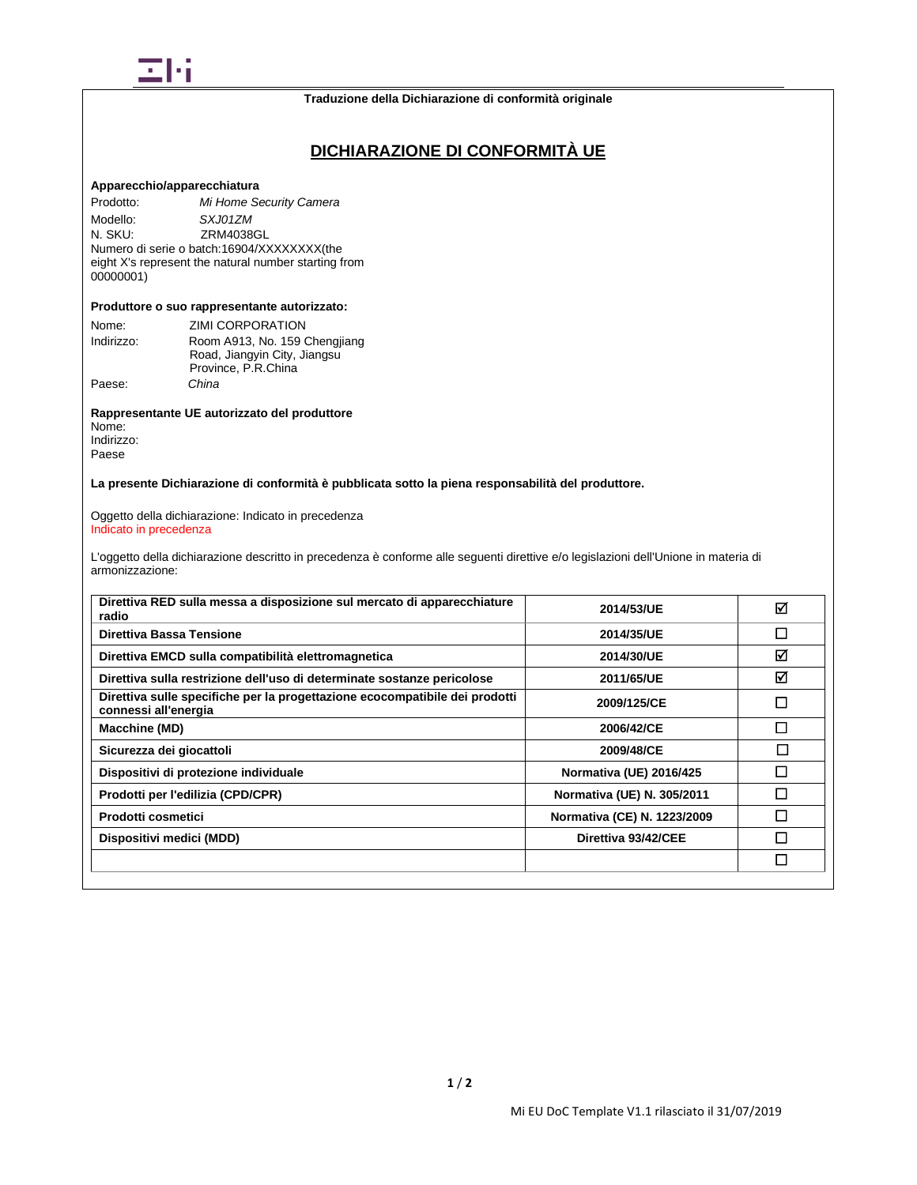

# **DICHIARAZIONE DI CONFORMITÀ UE**

### **Apparecchio/apparecchiatura**

Prodotto: *Mi Home Security Camera* Modello: *SXJ01ZM*<br>N. SKU: **ZRM4038** ZRM4038GL Numero di serie o batch:16904/XXXXXXXX(the eight X's represent the natural number starting from 00000001)

#### **Produttore o suo rappresentante autorizzato:**

| Nome:      | ZIMI CORPORATION              |
|------------|-------------------------------|
| Indirizzo: | Room A913, No. 159 Chengjiang |
|            | Road, Jiangyin City, Jiangsu  |
|            | Province, P.R.China           |
| Paese:     | China                         |

**Rappresentante UE autorizzato del produttore** Nome: Indirizzo:

Paese

**La presente Dichiarazione di conformità è pubblicata sotto la piena responsabilità del produttore.**

Oggetto della dichiarazione: Indicato in precedenza Indicato in precedenza

L'oggetto della dichiarazione descritto in precedenza è conforme alle seguenti direttive e/o legislazioni dell'Unione in materia di armonizzazione:

| Direttiva RED sulla messa a disposizione sul mercato di apparecchiature<br>radio                    | 2014/53/UE                  | ⊠ |
|-----------------------------------------------------------------------------------------------------|-----------------------------|---|
| Direttiva Bassa Tensione                                                                            | 2014/35/UE                  | П |
| Direttiva EMCD sulla compatibilità elettromagnetica                                                 | 2014/30/UE                  | ⊠ |
| Direttiva sulla restrizione dell'uso di determinate sostanze pericolose                             | 2011/65/UE                  | ☑ |
| Direttiva sulle specifiche per la progettazione ecocompatibile dei prodotti<br>connessi all'energia | 2009/125/CE                 | П |
| Macchine (MD)                                                                                       | 2006/42/CE                  | П |
| Sicurezza dei giocattoli                                                                            | 2009/48/CE                  | П |
| Dispositivi di protezione individuale                                                               | Normativa (UE) 2016/425     | П |
| Prodotti per l'edilizia (CPD/CPR)                                                                   | Normativa (UE) N. 305/2011  | П |
| Prodotti cosmetici                                                                                  | Normativa (CE) N. 1223/2009 | П |
| Dispositivi medici (MDD)                                                                            | Direttiva 93/42/CEE         | п |
|                                                                                                     |                             | П |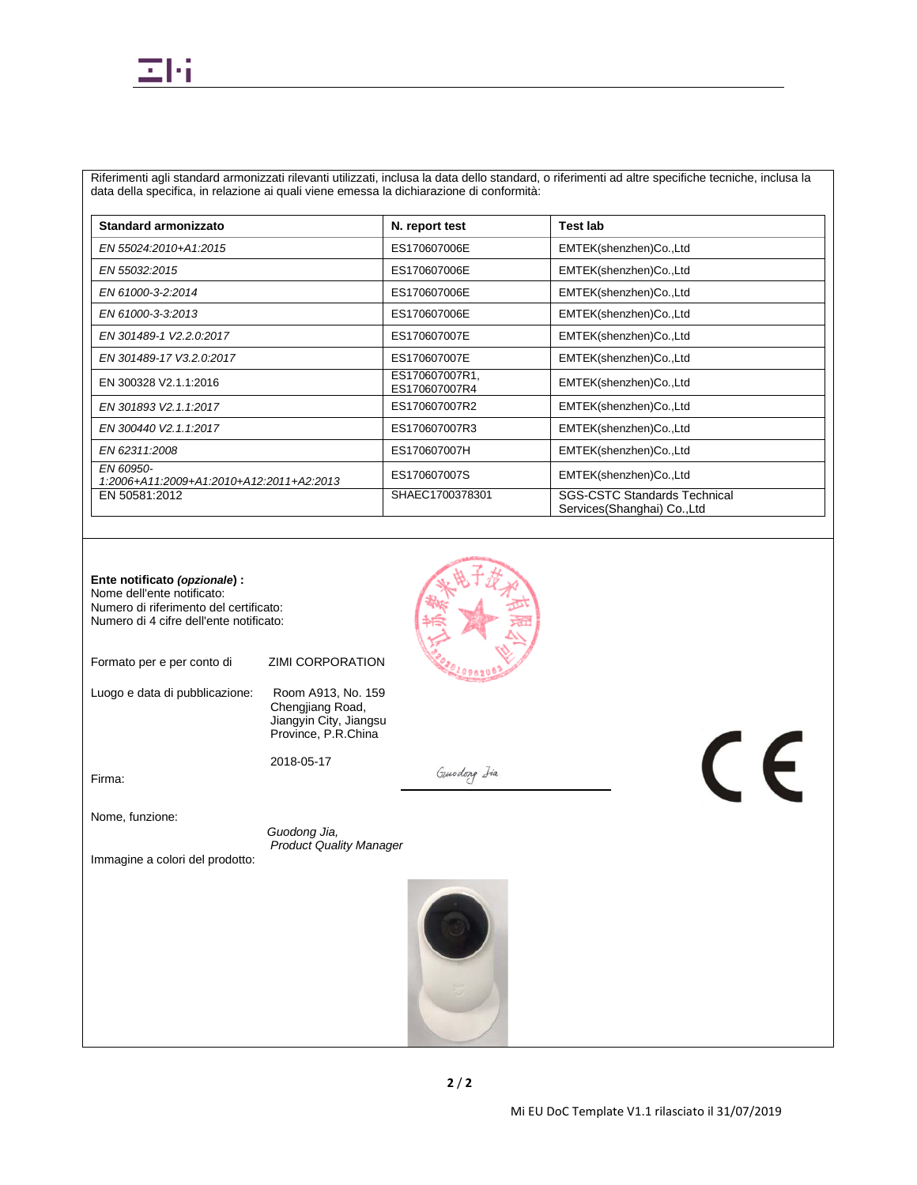

Riferimenti agli standard armonizzati rilevanti utilizzati, inclusa la data dello standard, o riferimenti ad altre specifiche tecniche, inclusa la data della specifica, in relazione ai quali viene emessa la dichiarazione di conformità:

| Standard armonizzato                                  | N. report test                  | Test lab                                                           |
|-------------------------------------------------------|---------------------------------|--------------------------------------------------------------------|
| EN 55024:2010+A1:2015                                 | ES170607006E                    | EMTEK(shenzhen)Co.,Ltd                                             |
| EN 55032:2015                                         | ES170607006E                    | EMTEK(shenzhen)Co.,Ltd                                             |
| EN 61000-3-2:2014                                     | ES170607006E                    | EMTEK(shenzhen)Co.,Ltd                                             |
| EN 61000-3-3:2013                                     | ES170607006E                    | EMTEK(shenzhen)Co.,Ltd                                             |
| EN 301489-1 V2.2.0:2017                               | ES170607007E                    | EMTEK(shenzhen)Co.,Ltd                                             |
| EN 301489-17 V3.2.0:2017                              | ES170607007E                    | EMTEK(shenzhen)Co.,Ltd                                             |
| EN 300328 V2.1.1:2016                                 | ES170607007R1,<br>ES170607007R4 | EMTEK(shenzhen)Co.,Ltd                                             |
| EN 301893 V2.1.1:2017                                 | ES170607007R2                   | EMTEK(shenzhen)Co.,Ltd                                             |
| EN 300440 V2.1.1:2017                                 | ES170607007R3                   | EMTEK(shenzhen)Co.,Ltd                                             |
| EN 62311:2008                                         | ES170607007H                    | EMTEK(shenzhen)Co.,Ltd                                             |
| EN 60950-<br>1:2006+A11:2009+A1:2010+A12:2011+A2:2013 | ES170607007S                    | EMTEK(shenzhen)Co.,Ltd                                             |
| EN 50581:2012                                         | SHAEC1700378301                 | <b>SGS-CSTC Standards Technical</b><br>Services(Shanghai) Co., Ltd |

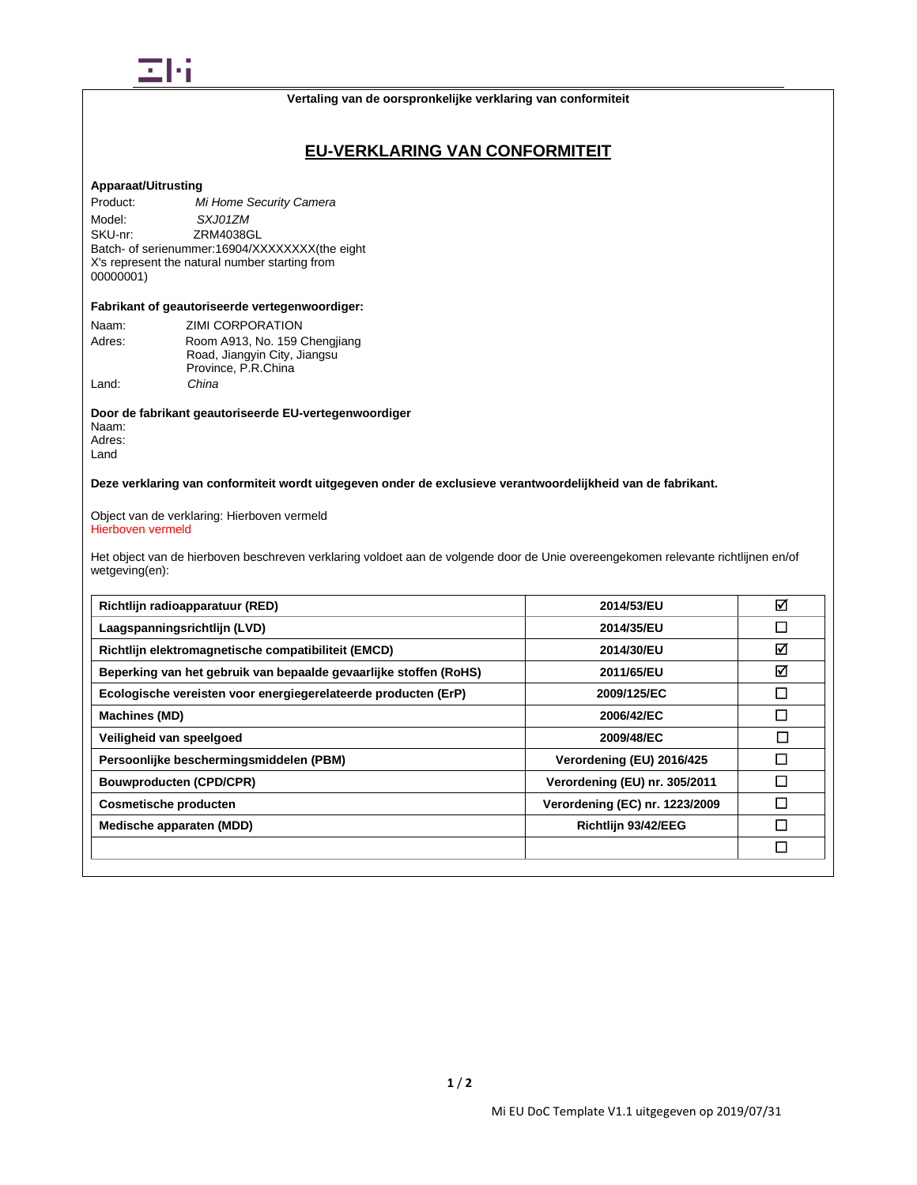

**Vertaling van de oorspronkelijke verklaring van conformiteit**

# **EU-VERKLARING VAN CONFORMITEIT**

## **Apparaat/Uitrusting**

Product: *Mi Home Security Camera* Model: *SXJ01ZM*<br>SKU-nr: **ZRM4038G** ZRM4038GL Batch- of serienummer:16904/XXXXXXXX(the eight X's represent the natural number starting from 00000001)

#### **Fabrikant of geautoriseerde vertegenwoordiger:**

| Naam:  | ZIMI CORPORATION              |
|--------|-------------------------------|
| Adres: | Room A913, No. 159 Chengjiang |
|        | Road, Jiangyin City, Jiangsu  |
|        | Province, P.R.China           |
| Land:  | China                         |

**Door de fabrikant geautoriseerde EU-vertegenwoordiger** Naam: Adres: Land

**Deze verklaring van conformiteit wordt uitgegeven onder de exclusieve verantwoordelijkheid van de fabrikant.**

Object van de verklaring: Hierboven vermeld Hierboven vermeld

Het object van de hierboven beschreven verklaring voldoet aan de volgende door de Unie overeengekomen relevante richtlijnen en/of wetgeving(en):

| Richtlijn radioapparatuur (RED)                                   | 2014/53/EU                     | ☑             |
|-------------------------------------------------------------------|--------------------------------|---------------|
| Laagspanningsrichtlijn (LVD)                                      | 2014/35/EU                     | □             |
| Richtlijn elektromagnetische compatibiliteit (EMCD)               | 2014/30/EU                     | ☑             |
| Beperking van het gebruik van bepaalde gevaarlijke stoffen (RoHS) | 2011/65/EU                     | ☑             |
| Ecologische vereisten voor energiegerelateerde producten (ErP)    | 2009/125/EC                    | □             |
| Machines (MD)                                                     | 2006/42/EC                     | $\Box$        |
| Veiligheid van speelgoed                                          | 2009/48/EC                     | □             |
| Persoonlijke beschermingsmiddelen (PBM)                           | Verordening (EU) 2016/425      | П             |
| <b>Bouwproducten (CPD/CPR)</b>                                    | Verordening (EU) nr. 305/2011  | J.            |
| <b>Cosmetische producten</b>                                      | Verordening (EC) nr. 1223/2009 | $\mathcal{L}$ |
| Medische apparaten (MDD)                                          | Richtlijn 93/42/EEG            | ×.            |
|                                                                   |                                | □             |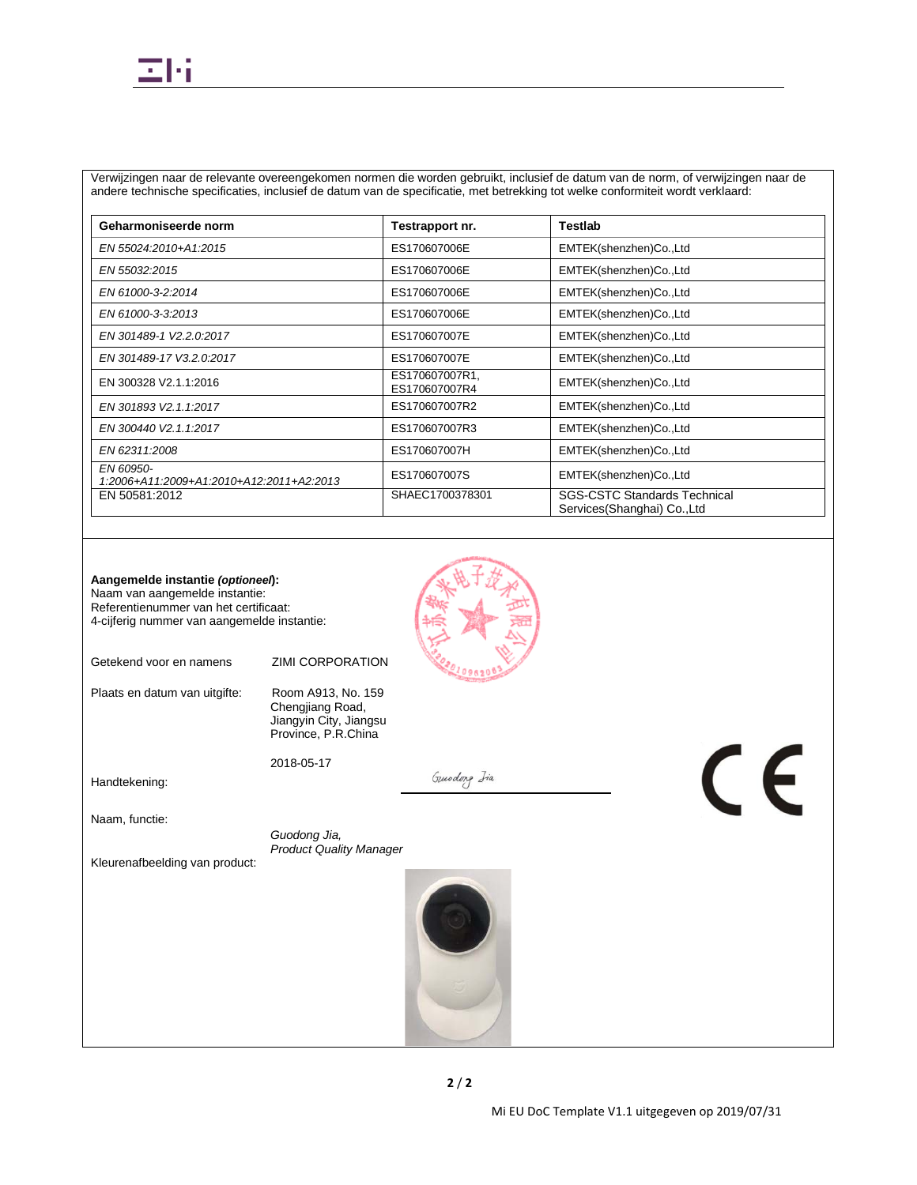Verwijzingen naar de relevante overeengekomen normen die worden gebruikt, inclusief de datum van de norm, of verwijzingen naar de andere technische specificaties, inclusief de datum van de specificatie, met betrekking tot welke conformiteit wordt verklaard:

| Geharmoniseerde norm                                  | Testrapport nr.                 | Testlab                                                            |
|-------------------------------------------------------|---------------------------------|--------------------------------------------------------------------|
| EN 55024:2010+A1:2015                                 | ES170607006E                    | EMTEK(shenzhen)Co.,Ltd                                             |
| EN 55032:2015                                         | ES170607006E                    | EMTEK(shenzhen)Co.,Ltd                                             |
| EN 61000-3-2:2014                                     | ES170607006E                    | EMTEK(shenzhen)Co.,Ltd                                             |
| EN 61000-3-3:2013                                     | ES170607006E                    | EMTEK(shenzhen)Co.,Ltd                                             |
| EN 301489-1 V2.2.0:2017                               | ES170607007E                    | EMTEK(shenzhen)Co.,Ltd                                             |
| EN 301489-17 V3.2.0:2017                              | ES170607007E                    | EMTEK(shenzhen)Co.,Ltd                                             |
| EN 300328 V2.1.1:2016                                 | ES170607007R1,<br>ES170607007R4 | EMTEK(shenzhen)Co.,Ltd                                             |
| EN 301893 V2.1.1:2017                                 | ES170607007R2                   | EMTEK(shenzhen)Co.,Ltd                                             |
| EN 300440 V2.1.1:2017                                 | ES170607007R3                   | EMTEK(shenzhen)Co.,Ltd                                             |
| EN 62311:2008                                         | ES170607007H                    | EMTEK(shenzhen)Co.,Ltd                                             |
| EN 60950-<br>1:2006+A11:2009+A1:2010+A12:2011+A2:2013 | ES170607007S                    | EMTEK(shenzhen)Co.,Ltd                                             |
| EN 50581:2012                                         | SHAEC1700378301                 | <b>SGS-CSTC Standards Technical</b><br>Services(Shanghai) Co., Ltd |



Getekend voor en namens ZIMI CORPORATION

Plaats en datum van uitgifte: Room A913, No. 159

Chengjiang Road, Jiangyin City, Jiangsu Province, P.R.China

2018-05-17

Handtekening:

Naam, functie:

 *Guodong Jia, Product Quality Manager*

Kleurenafbeelding van product:



Guodong Jia

 $\epsilon$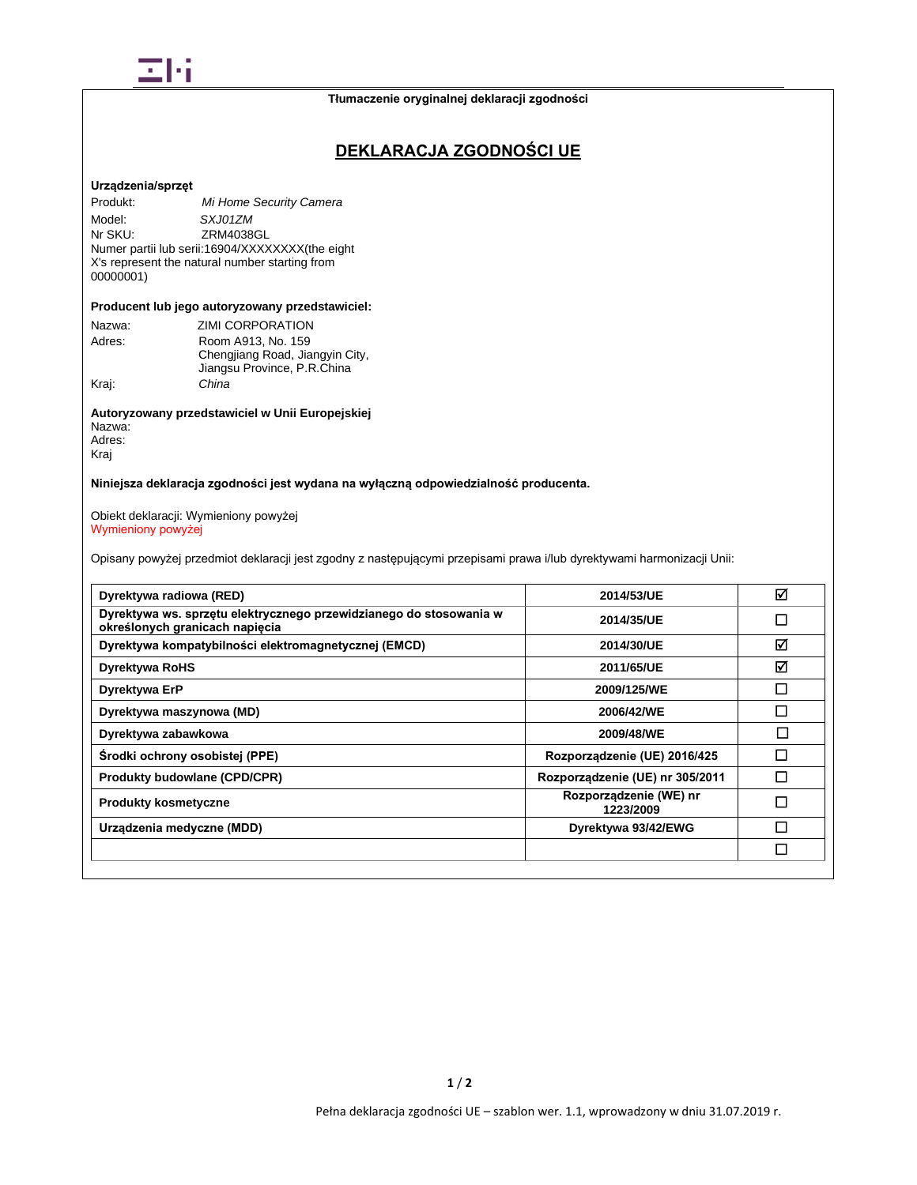

# **DEKLARACJA ZGODNOŚCI UE**

### **Urządzenia/sprzęt**

Produkt: *Mi Home Security Camera* Model: *SXJ01ZM*<br>Nr SKU: ZRM4038 ZRM4038GL Numer partii lub serii:16904/XXXXXXXX(the eight X's represent the natural number starting from 00000001)

## **Producent lub jego autoryzowany przedstawiciel:**

| Nazwa: | ZIMI CORPORATION                                               |
|--------|----------------------------------------------------------------|
| Adres: | Room A913, No. 159                                             |
|        | Chengjiang Road, Jiangyin City,<br>Jiangsu Province, P.R.China |
| Kraj:  | China                                                          |
|        |                                                                |

## **Autoryzowany przedstawiciel w Unii Europejskiej** Nazwa: Adres:

Kraj

## **Niniejsza deklaracja zgodności jest wydana na wyłączną odpowiedzialność producenta.**

#### Obiekt deklaracji: Wymieniony powyżej Wymieniony powyżej

Opisany powyżej przedmiot deklaracji jest zgodny z następującymi przepisami prawa i/lub dyrektywami harmonizacji Unii:

| Dyrektywa radiowa (RED)                                                                              | 2014/53/UE                          | ☑ |
|------------------------------------------------------------------------------------------------------|-------------------------------------|---|
| Dyrektywa ws. sprzętu elektrycznego przewidzianego do stosowania w<br>określonych granicach napięcia | 2014/35/UE                          | П |
| Dyrektywa kompatybilności elektromagnetycznej (EMCD)                                                 | 2014/30/UE                          | ⊠ |
| <b>Dyrektywa RoHS</b>                                                                                | 2011/65/UE                          | ☑ |
| Dyrektywa ErP                                                                                        | 2009/125/WE                         | П |
| Dyrektywa maszynowa (MD)                                                                             | 2006/42/WE                          | П |
| Dyrektywa zabawkowa                                                                                  | 2009/48/WE                          | П |
| Środki ochrony osobistej (PPE)                                                                       | Rozporządzenie (UE) 2016/425        |   |
| <b>Produkty budowlane (CPD/CPR)</b>                                                                  | Rozporządzenie (UE) nr 305/2011     | П |
| <b>Produkty kosmetyczne</b>                                                                          | Rozporządzenie (WE) nr<br>1223/2009 | П |
| Urządzenia medyczne (MDD)                                                                            | Dyrektywa 93/42/EWG                 | П |
|                                                                                                      |                                     | П |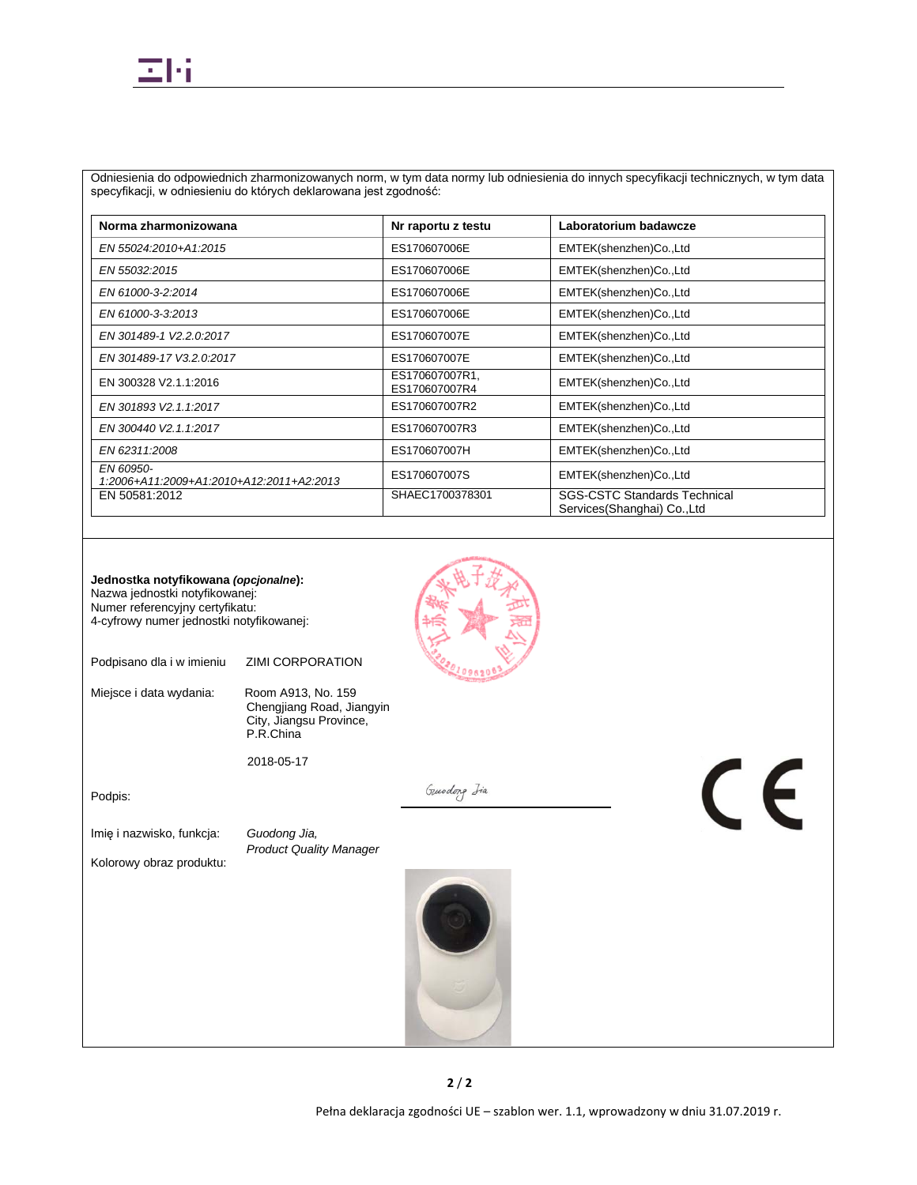Odniesienia do odpowiednich zharmonizowanych norm, w tym data normy lub odniesienia do innych specyfikacji technicznych, w tym data specyfikacji, w odniesieniu do których deklarowana jest zgodność:

| Norma zharmonizowana                                  | Nr raportu z testu              | Laboratorium badawcze                                              |
|-------------------------------------------------------|---------------------------------|--------------------------------------------------------------------|
| EN 55024:2010+A1:2015                                 | ES170607006E                    | EMTEK(shenzhen)Co.,Ltd                                             |
| EN 55032:2015                                         | ES170607006E                    | EMTEK(shenzhen)Co.,Ltd                                             |
| EN 61000-3-2:2014                                     | ES170607006E                    | EMTEK(shenzhen)Co.,Ltd                                             |
| EN 61000-3-3:2013                                     | ES170607006E                    | EMTEK(shenzhen)Co.,Ltd                                             |
| EN 301489-1 V2.2.0:2017                               | ES170607007E                    | EMTEK(shenzhen)Co.,Ltd                                             |
| EN 301489-17 V3.2.0:2017                              | ES170607007E                    | EMTEK(shenzhen)Co.,Ltd                                             |
| EN 300328 V2.1.1:2016                                 | ES170607007R1,<br>ES170607007R4 | EMTEK(shenzhen)Co.,Ltd                                             |
| EN 301893 V2.1.1:2017                                 | ES170607007R2                   | EMTEK(shenzhen)Co.,Ltd                                             |
| EN 300440 V2.1.1:2017                                 | ES170607007R3                   | EMTEK(shenzhen)Co.,Ltd                                             |
| EN 62311:2008                                         | ES170607007H                    | EMTEK(shenzhen)Co.,Ltd                                             |
| EN 60950-<br>1:2006+A11:2009+A1:2010+A12:2011+A2:2013 | ES170607007S                    | EMTEK(shenzhen)Co.,Ltd                                             |
| EN 50581:2012                                         | SHAEC1700378301                 | <b>SGS-CSTC Standards Technical</b><br>Services(Shanghai) Co., Ltd |

| Jednostka notyfikowana (opcjonalne):<br>Nazwa jednostki notyfikowanej:<br>Numer referencyjny certyfikatu:<br>4-cyfrowy numer jednostki notyfikowanej: |                                                                                         |             |    |
|-------------------------------------------------------------------------------------------------------------------------------------------------------|-----------------------------------------------------------------------------------------|-------------|----|
| Podpisano dla i w imieniu                                                                                                                             | <b>ZIMI CORPORATION</b>                                                                 |             |    |
| Miejsce i data wydania:                                                                                                                               | Room A913, No. 159<br>Chengjiang Road, Jiangyin<br>City, Jiangsu Province,<br>P.R.China |             |    |
|                                                                                                                                                       | 2018-05-17                                                                              |             |    |
| Podpis:                                                                                                                                               |                                                                                         | Gundong Iia | CE |
| Imię i nazwisko, funkcja:                                                                                                                             | Guodong Jia,                                                                            |             |    |
| Kolorowy obraz produktu:                                                                                                                              | <b>Product Quality Manager</b>                                                          |             |    |
|                                                                                                                                                       |                                                                                         |             |    |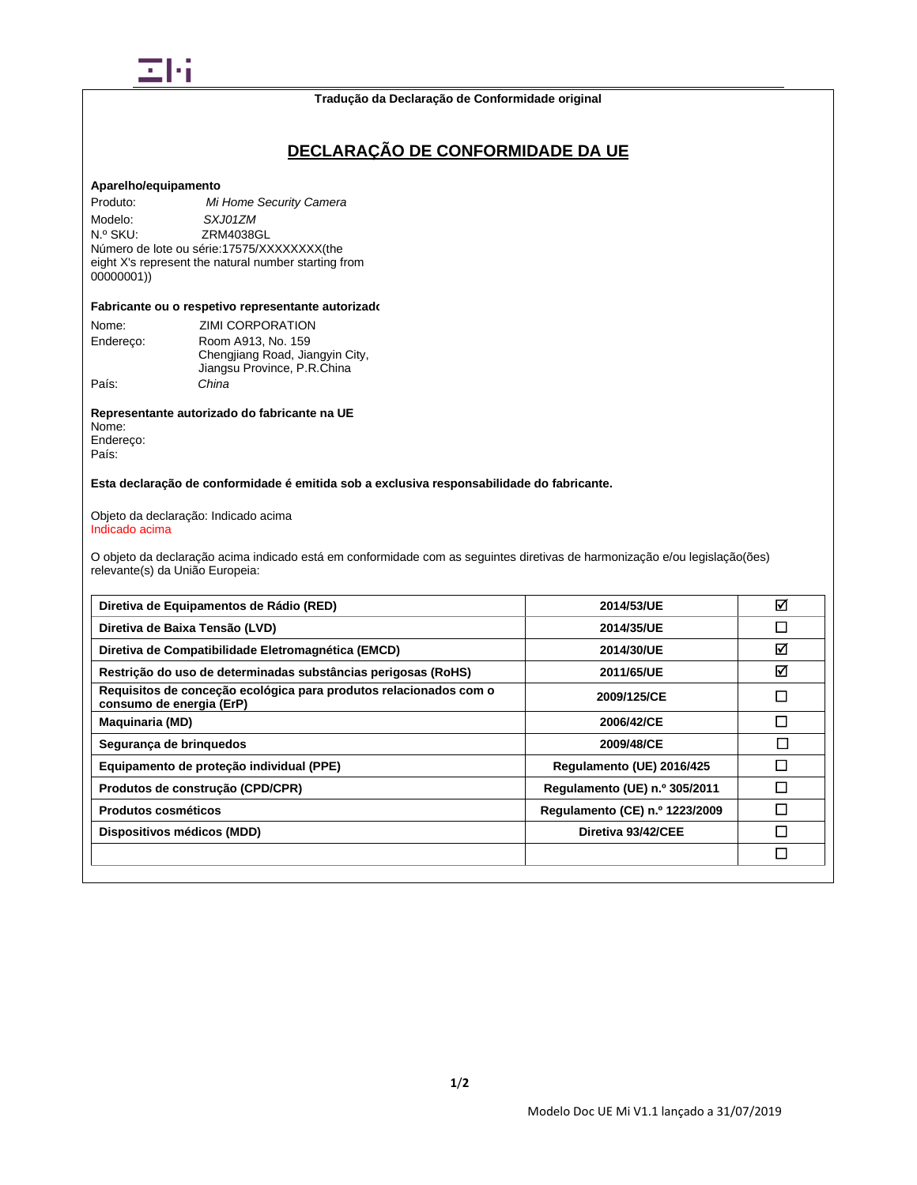

#### **Tradução da Declaração de Conformidade original**

# **DECLARAÇÃO DE CONFORMIDADE DA UE**

## **Aparelho/equipamento**

Produto: *Mi Home Security Camera* Modelo: *SXJ01ZM*<br>
N.º SKU: **ZRM40380** ZRM4038GL Número de lote ou série:17575/XXXXXXXX(the eight X's represent the natural number starting from 00000001))

#### **Fabricante ou o respetivo representante autorizado**

| Nome:     | ZIMI CORPORATION                |
|-----------|---------------------------------|
| Endereco: | Room A913, No. 159              |
|           | Chengjiang Road, Jiangyin City, |
|           | Jiangsu Province, P.R.China     |
| País:     | China                           |

**Representante autorizado do fabricante na UE** Nome: Endereço: País:

## **Esta declaração de conformidade é emitida sob a exclusiva responsabilidade do fabricante.**

#### Objeto da declaração: Indicado acima Indicado acima

O objeto da declaração acima indicado está em conformidade com as seguintes diretivas de harmonização e/ou legislação(ões) relevante(s) da União Europeia:

| 2014/53/UE<br>2014/35/UE       | ☑      |
|--------------------------------|--------|
|                                |        |
|                                | $\Box$ |
| 2014/30/UE                     | ☑      |
| 2011/65/UE                     | ☑      |
| 2009/125/CE                    | П      |
| 2006/42/CE                     | П      |
| 2009/48/CE                     | П      |
| Regulamento (UE) 2016/425      | П      |
| Regulamento (UE) n.º 305/2011  | П      |
| Regulamento (CE) n.º 1223/2009 | П      |
| Diretiva 93/42/CEE             |        |
|                                | $\Box$ |
|                                |        |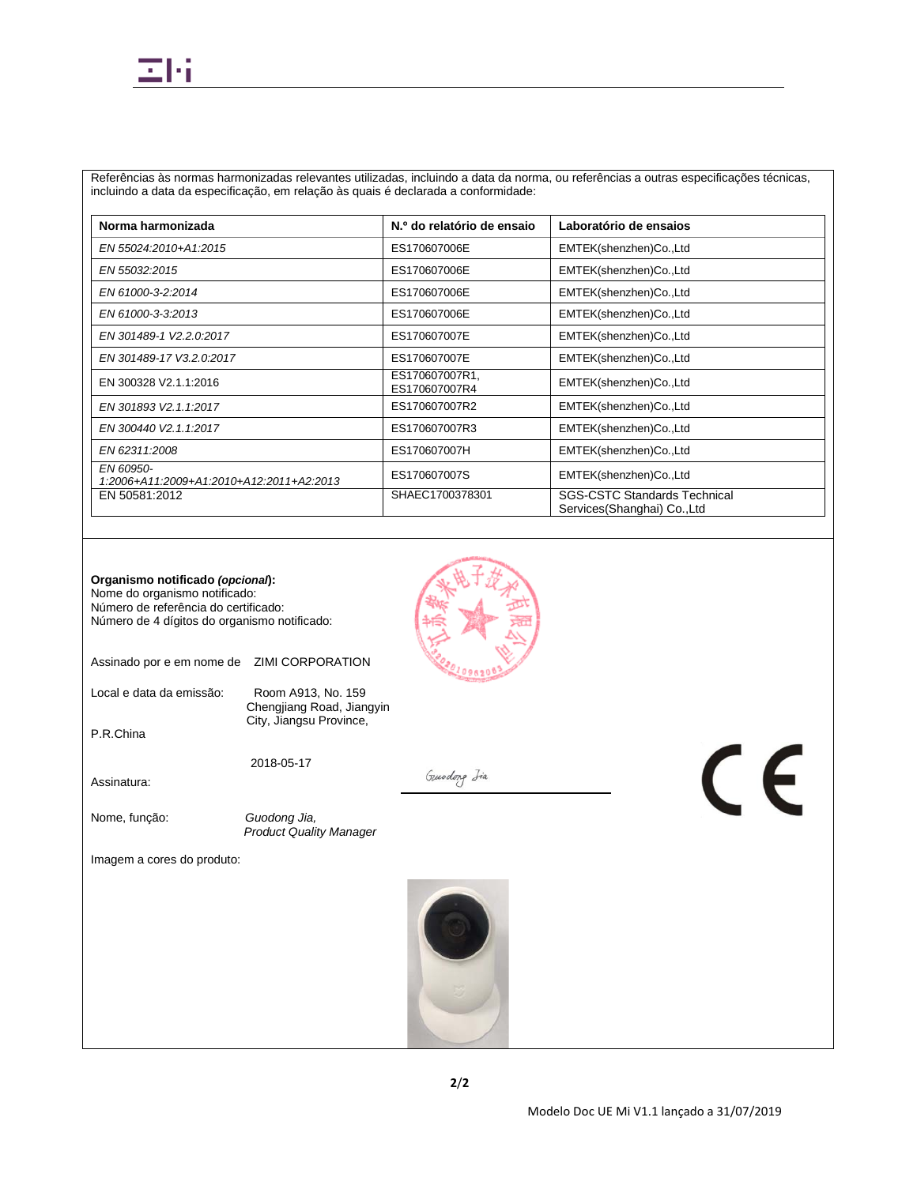# Ξh

Referências às normas harmonizadas relevantes utilizadas, incluindo a data da norma, ou referências a outras especificações técnicas, incluindo a data da especificação, em relação às quais é declarada a conformidade:

| Norma harmonizada                                     | N.º do relatório de ensaio      | Laboratório de ensaios                                             |
|-------------------------------------------------------|---------------------------------|--------------------------------------------------------------------|
| EN 55024:2010+A1:2015                                 | ES170607006E                    | EMTEK(shenzhen)Co.,Ltd                                             |
| EN 55032:2015                                         | ES170607006E                    | EMTEK(shenzhen)Co.,Ltd                                             |
| EN 61000-3-2:2014                                     | ES170607006E                    | EMTEK(shenzhen)Co.,Ltd                                             |
| EN 61000-3-3:2013                                     | ES170607006E                    | EMTEK(shenzhen)Co.,Ltd                                             |
| EN 301489-1 V2.2.0:2017                               | ES170607007E                    | EMTEK(shenzhen)Co.,Ltd                                             |
| EN 301489-17 V3.2.0:2017                              | ES170607007E                    | EMTEK(shenzhen)Co.,Ltd                                             |
| EN 300328 V2.1.1:2016                                 | ES170607007R1,<br>ES170607007R4 | EMTEK(shenzhen)Co.,Ltd                                             |
| EN 301893 V2.1.1:2017                                 | ES170607007R2                   | EMTEK(shenzhen)Co.,Ltd                                             |
| EN 300440 V2.1.1:2017                                 | ES170607007R3                   | EMTEK(shenzhen)Co.,Ltd                                             |
| EN 62311:2008                                         | ES170607007H                    | EMTEK(shenzhen)Co.,Ltd                                             |
| EN 60950-<br>1:2006+A11:2009+A1:2010+A12:2011+A2:2013 | ES170607007S                    | EMTEK(shenzhen)Co.,Ltd                                             |
| EN 50581:2012                                         | SHAEC1700378301                 | <b>SGS-CSTC Standards Technical</b><br>Services(Shanghai) Co., Ltd |



Assinado por e em nome de ZIMI CORPORATION

Local e data da emissão: Room A913, No. 159

Chengjiang Road, Jiangyin City, Jiangsu Province,

2018-05-17

Assinatura:

P.R.China

Nome, função: *Guodong Jia,*

*Product Quality Manager*

Imagem a cores do produto:



Gundong Isa

 $\epsilon$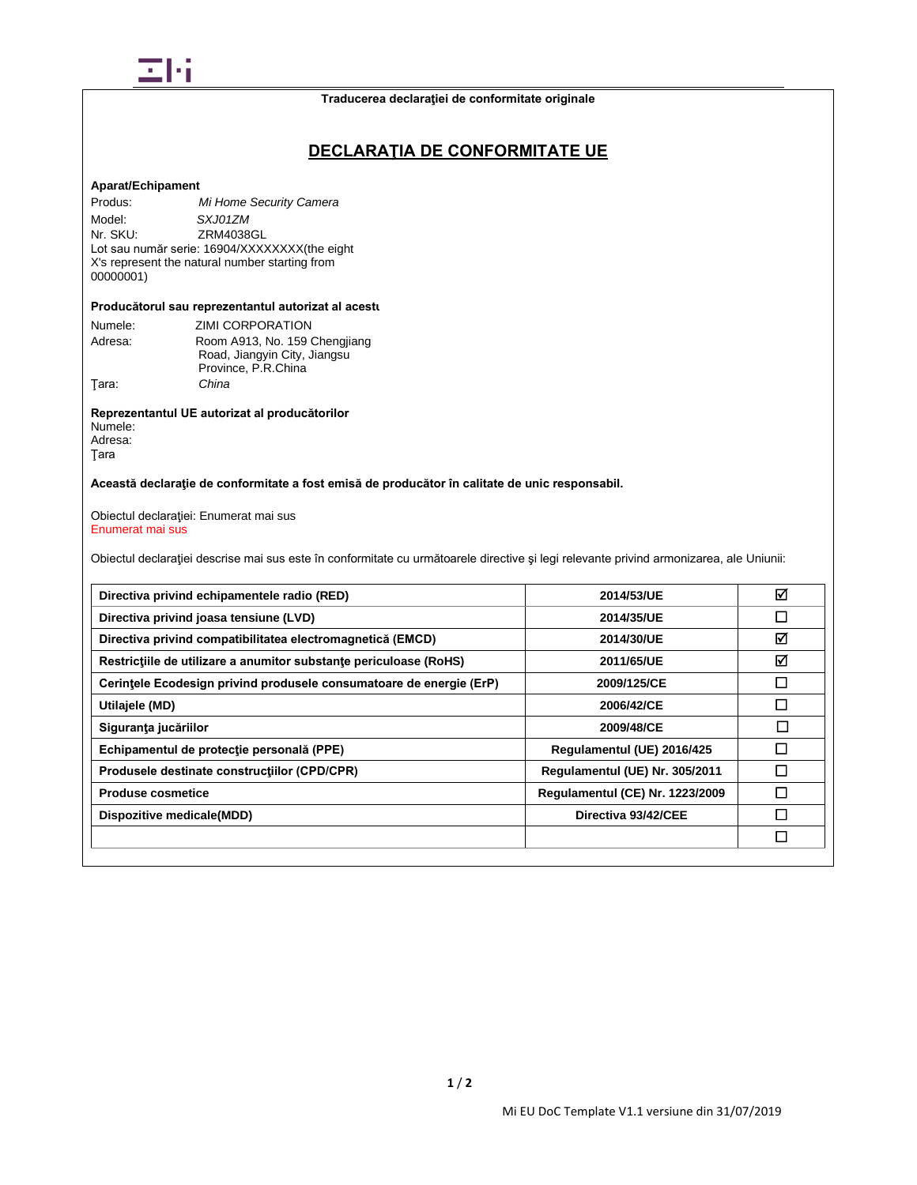

# **DECLARAŢIA DE CONFORMITATE UE**

## **Aparat/Echipament**

Produs: *Mi Home Security Camera* Model: *SXJ01ZM*<br>Nr. SKU: **ZRM4038** ZRM4038GL Lot sau număr serie: 16904/XXXXXXXX(the eight X's represent the natural number starting from 00000001)

#### **Producătorul sau reprezentantul autorizat al acestu**

| Numele: | ZIMI CORPORATION              |
|---------|-------------------------------|
| Adresa: | Room A913, No. 159 Chengjiang |
|         | Road, Jiangyin City, Jiangsu  |
|         | Province, P.R.China           |
| Tara:   | China                         |

**Reprezentantul UE autorizat al producătorilor** Numele: Adresa:

Ţara

## **Această declaraţie de conformitate a fost emisă de producător în calitate de unic responsabil.**

Obiectul declaraţiei: Enumerat mai sus Enumerat mai sus

Obiectul declaraţiei descrise mai sus este în conformitate cu următoarele directive şi legi relevante privind armonizarea, ale Uniunii:

| Directiva privind echipamentele radio (RED)                         | 2014/53/UE                             | ☑ |
|---------------------------------------------------------------------|----------------------------------------|---|
| Directiva privind joasa tensiune (LVD)                              | 2014/35/UE                             | П |
| Directiva privind compatibilitatea electromagnetică (EMCD)          | 2014/30/UE                             | ⊠ |
| Restrictiile de utilizare a anumitor substante periculoase (RoHS)   | 2011/65/UE                             | ☑ |
| Cerintele Ecodesign privind produsele consumatoare de energie (ErP) | 2009/125/CE                            | П |
| Utilajele (MD)                                                      | 2006/42/CE                             | П |
| Siguranța jucăriilor                                                | 2009/48/CE                             | П |
| Echipamentul de protecție personală (PPE)                           | Regulamentul (UE) 2016/425             | П |
| Produsele destinate constructiilor (CPD/CPR)                        | Regulamentul (UE) Nr. 305/2011         | П |
| <b>Produse cosmetice</b>                                            | <b>Regulamentul (CE) Nr. 1223/2009</b> | П |
| Dispozitive medicale(MDD)                                           | Directiva 93/42/CEE                    |   |
|                                                                     |                                        | П |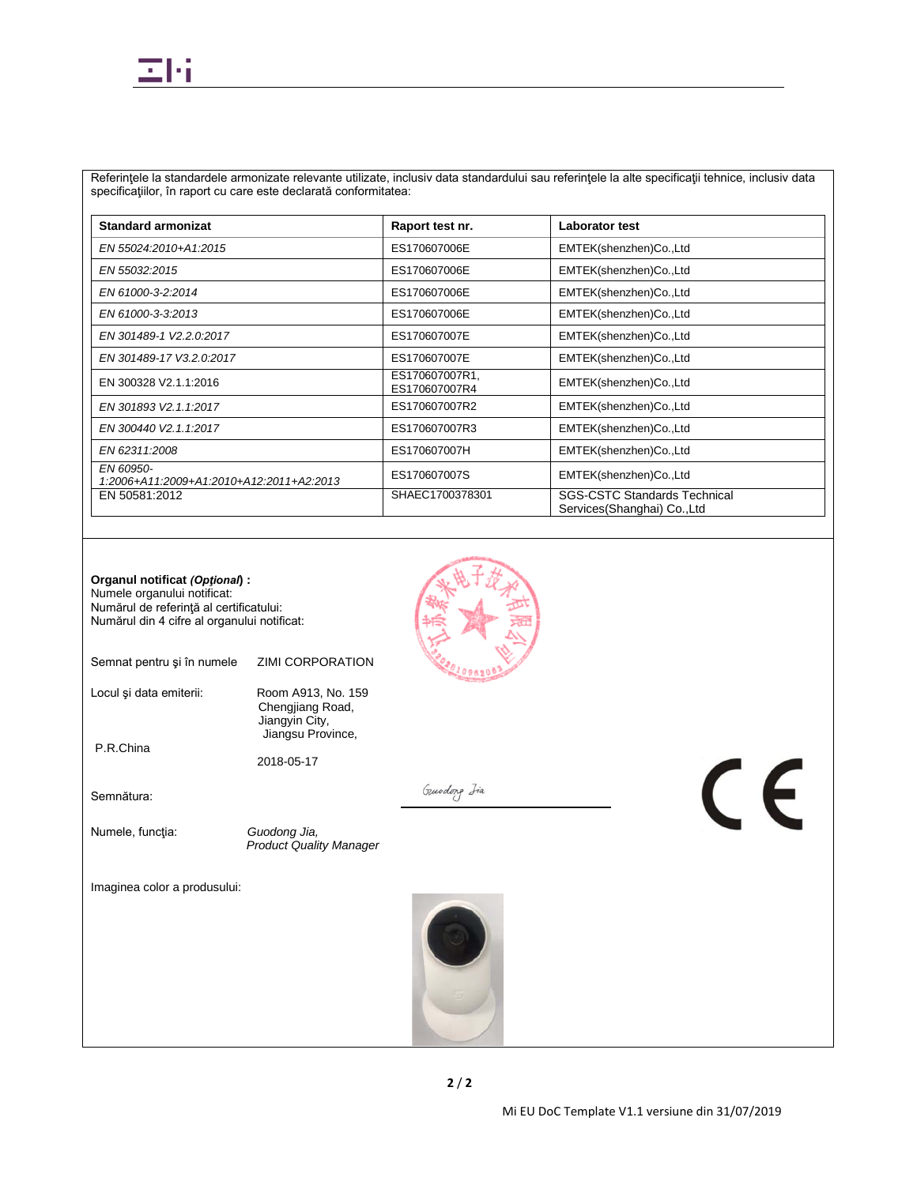Referinţele la standardele armonizate relevante utilizate, inclusiv data standardului sau referinţele la alte specificaţii tehnice, inclusiv data specificaţiilor, în raport cu care este declarată conformitatea:

| <b>Standard armonizat</b>                             | Raport test nr.                 | Laborator test                                                      |
|-------------------------------------------------------|---------------------------------|---------------------------------------------------------------------|
| EN 55024:2010+A1:2015                                 | ES170607006E                    | EMTEK(shenzhen)Co.,Ltd                                              |
| EN 55032:2015                                         | ES170607006E                    | EMTEK(shenzhen)Co.,Ltd                                              |
| EN 61000-3-2:2014                                     | ES170607006E                    | EMTEK(shenzhen)Co.,Ltd                                              |
| EN 61000-3-3:2013                                     | ES170607006E                    | EMTEK(shenzhen)Co.,Ltd                                              |
| EN 301489-1 V2.2.0:2017                               | ES170607007E                    | EMTEK(shenzhen)Co.,Ltd                                              |
| EN 301489-17 V3.2.0:2017                              | ES170607007E                    | EMTEK(shenzhen)Co.,Ltd                                              |
| EN 300328 V2.1.1:2016                                 | ES170607007R1,<br>ES170607007R4 | EMTEK(shenzhen)Co.,Ltd                                              |
| EN 301893 V2.1.1:2017                                 | ES170607007R2                   | EMTEK(shenzhen)Co.,Ltd                                              |
| EN 300440 V2.1.1:2017                                 | ES170607007R3                   | EMTEK(shenzhen)Co.,Ltd                                              |
| EN 62311:2008                                         | ES170607007H                    | EMTEK(shenzhen)Co.,Ltd                                              |
| EN 60950-<br>1:2006+A11:2009+A1:2010+A12:2011+A2:2013 | ES170607007S                    | EMTEK(shenzhen)Co.,Ltd                                              |
| EN 50581:2012                                         | SHAEC1700378301                 | <b>SGS-CSTC Standards Technical</b><br>Services (Shanghai) Co., Ltd |

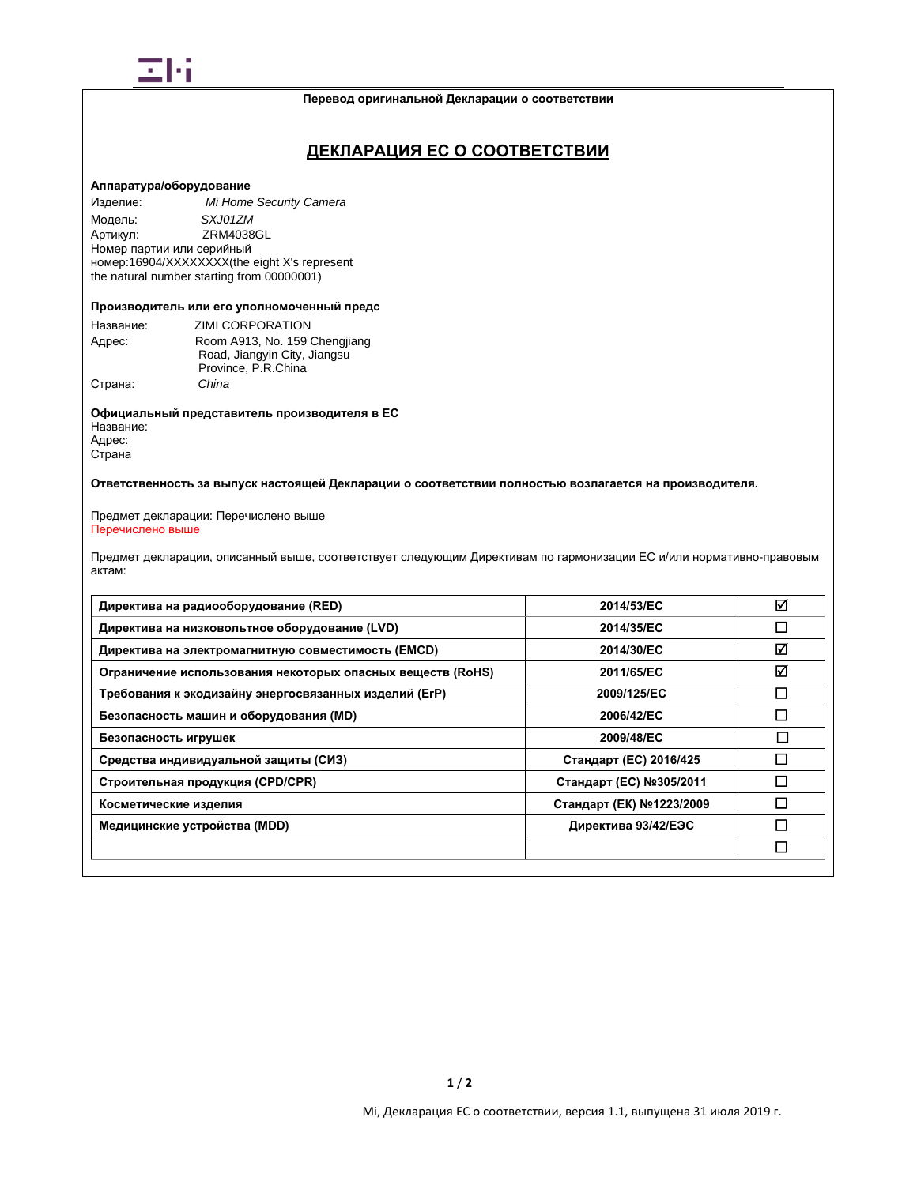

#### **Перевод оригинальной Декларации о соответствии**

# **ДЕКЛАРАЦИЯ ЕС О СООТВЕТСТВИИ**

### **Аппаратура/оборудование**

Изделие: *Mi Home Security Camera* Модель: *SXJ01ZM*<br>Артикул: *ZRM4038* ZRM4038GL Номер партии или серийный номер:16904/XXXXXXXX(the eight X's represent the natural number starting from 00000001)

#### **Производитель или его уполномоченный предс**

| Название: | ZIMI CORPORATION              |
|-----------|-------------------------------|
| Адрес:    | Room A913, No. 159 Chengjiang |
|           | Road, Jiangyin City, Jiangsu  |
|           | Province, P.R.China           |
| Страна:   | China                         |

**Официальный представитель производителя в ЕС** Название: Адрес: Страна

### **Ответственность за выпуск настоящей Декларации о соответствии полностью возлагается на производителя.**

#### Предмет декларации: Перечислено выше Перечислено выше

Предмет декларации, описанный выше, соответствует следующим Директивам по гармонизации ЕС и/или нормативно-правовым актам:

| Директива на радиооборудование (RED)                       | 2014/53/EC               | ☑                        |
|------------------------------------------------------------|--------------------------|--------------------------|
| Директива на низковольтное оборудование (LVD)              | 2014/35/EC               | $\overline{\phantom{a}}$ |
| Директива на электромагнитную совместимость (EMCD)         | 2014/30/EC               | ☑                        |
| Ограничение использования некоторых опасных веществ (RoHS) | 2011/65/EC               | ☑                        |
| Требования к экодизайну энергосвязанных изделий (ErP)      | 2009/125/EC              | □                        |
| Безопасность машин и оборудования (MD)                     | 2006/42/EC               | П                        |
| Безопасность игрушек                                       | 2009/48/EC               | П                        |
| Средства индивидуальной защиты (СИЗ)                       | Стандарт (ЕС) 2016/425   | Π                        |
| Строительная продукция (CPD/CPR)                           | Стандарт (ЕС) №305/2011  | П                        |
| Косметические изделия                                      | Стандарт (ЕК) №1223/2009 | П                        |
| Медицинские устройства (MDD)                               | Директива 93/42/ЕЭС      | П                        |
|                                                            |                          | $\Box$                   |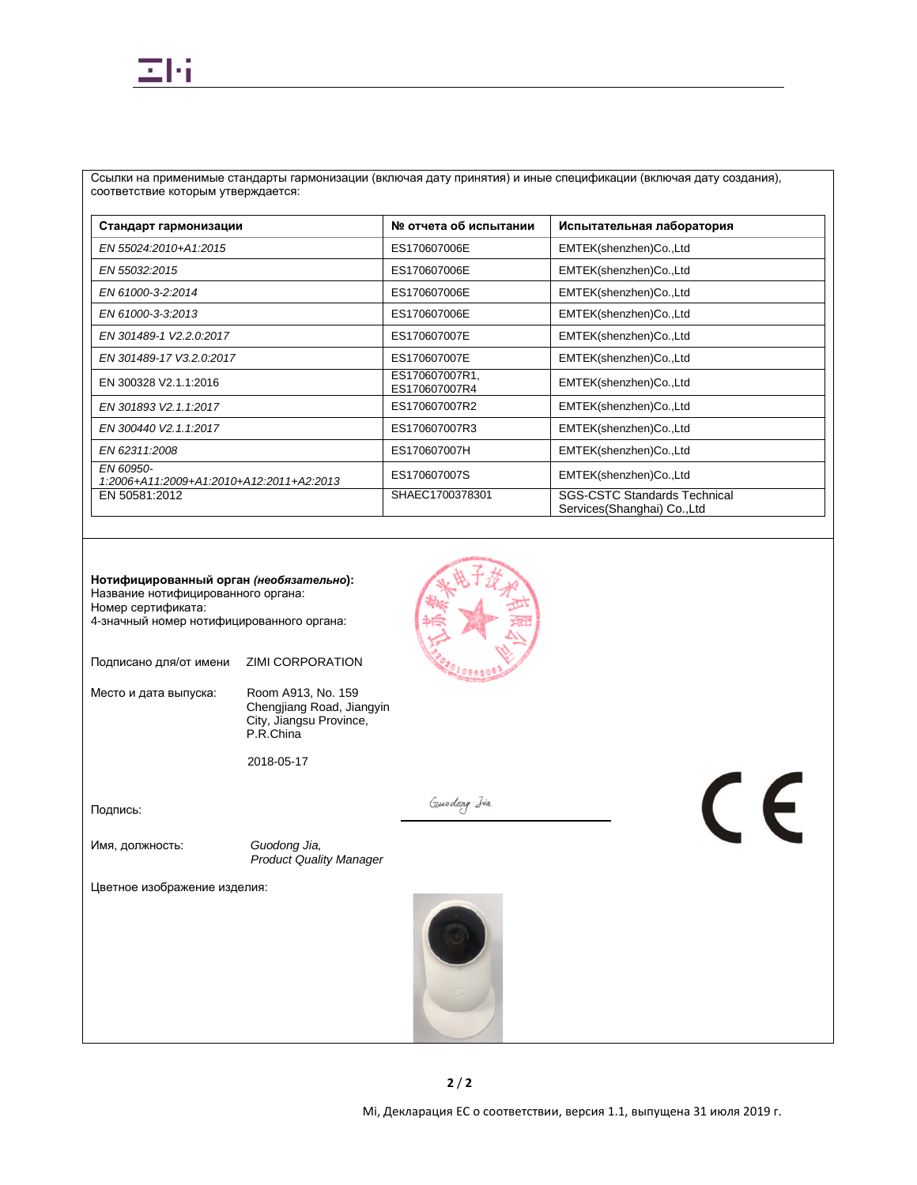# Ξh

Ссылки на применимые стандарты гармонизации (включая дату принятия) и иные спецификации (включая дату создания), соответствие которым утверждается:

| Стандарт гармонизации                                 | № отчета об испытании           | Испытательная лаборатория                                          |
|-------------------------------------------------------|---------------------------------|--------------------------------------------------------------------|
| EN 55024:2010+A1:2015                                 | ES170607006E                    | EMTEK(shenzhen)Co.,Ltd                                             |
| EN 55032:2015                                         | ES170607006E                    | EMTEK(shenzhen)Co.,Ltd                                             |
| EN 61000-3-2:2014                                     | ES170607006E                    | EMTEK(shenzhen)Co.,Ltd                                             |
| EN 61000-3-3:2013                                     | ES170607006E                    | EMTEK(shenzhen)Co.,Ltd                                             |
| EN 301489-1 V2.2.0:2017                               | ES170607007E                    | EMTEK(shenzhen)Co.,Ltd                                             |
| EN 301489-17 V3.2.0:2017                              | ES170607007E                    | EMTEK(shenzhen)Co.,Ltd                                             |
| EN 300328 V2.1.1:2016                                 | ES170607007R1,<br>ES170607007R4 | EMTEK(shenzhen)Co.,Ltd                                             |
| EN 301893 V2.1.1:2017                                 | ES170607007R2                   | EMTEK(shenzhen)Co.,Ltd                                             |
| EN 300440 V2.1.1:2017                                 | ES170607007R3                   | EMTEK(shenzhen)Co.,Ltd                                             |
| EN 62311:2008                                         | ES170607007H                    | EMTEK(shenzhen)Co.,Ltd                                             |
| EN 60950-<br>1:2006+A11:2009+A1:2010+A12:2011+A2:2013 | ES170607007S                    | EMTEK(shenzhen)Co.,Ltd                                             |
| EN 50581:2012                                         | SHAEC1700378301                 | <b>SGS-CSTC Standards Technical</b><br>Services(Shanghai) Co., Ltd |

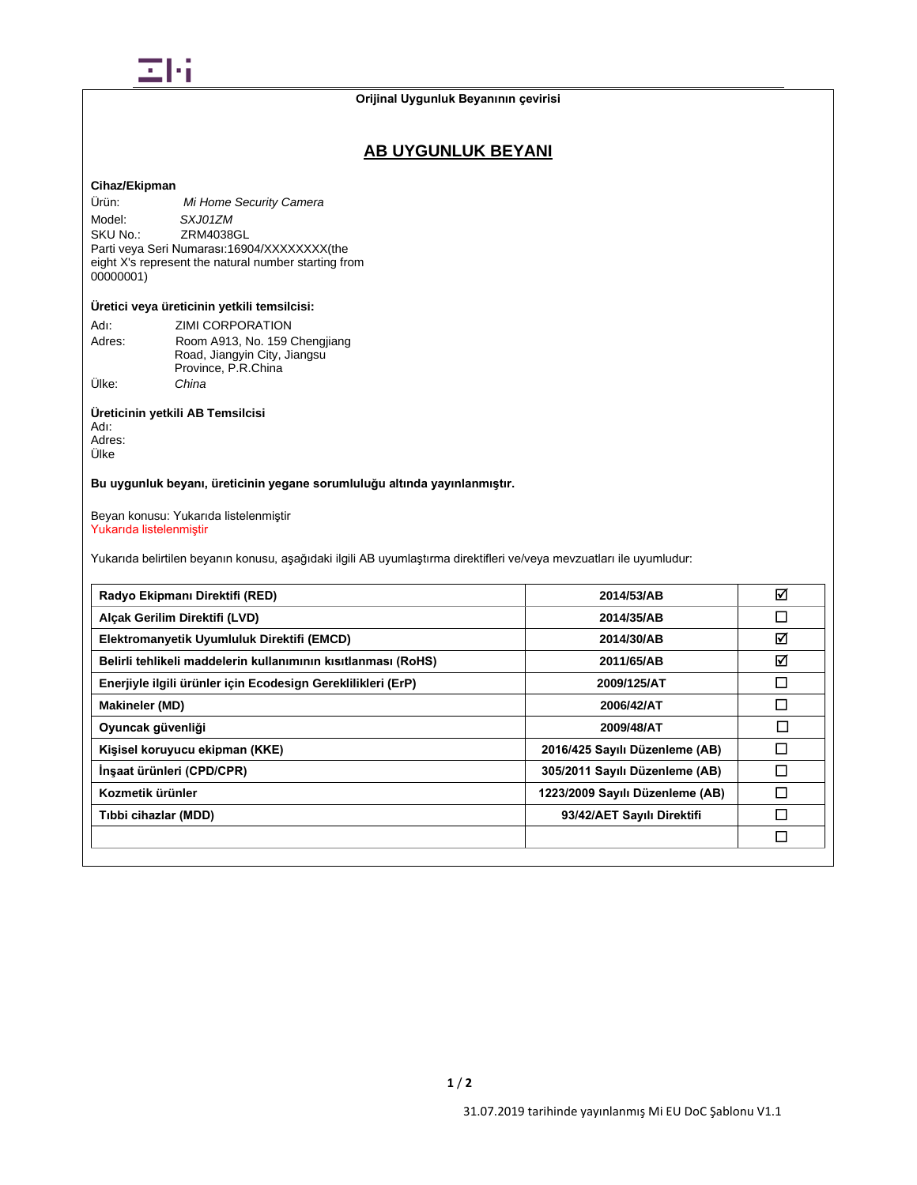

# **AB UYGUNLUK BEYANI**

# **Cihaz/Ekipman**

Ürün: *Mi Home Security Camera* Model: *SXJ01ZM*<br>SKU No.: ZRM40380 ZRM4038GL Parti veya Seri Numarası:16904/XXXXXXXX(the eight X's represent the natural number starting from 00000001)

## **Üretici veya üreticinin yetkili temsilcisi:**

| Adı:   | <b>ZIMI CORPORATION</b>       |
|--------|-------------------------------|
| Adres: | Room A913, No. 159 Chengjiang |
|        | Road, Jiangyin City, Jiangsu  |
|        | Province, P.R.China           |
| Ülke:  | China                         |

# **Üreticinin yetkili AB Temsilcisi**

Adı: Adres: Ülke

## **Bu uygunluk beyanı, üreticinin yegane sorumluluğu altında yayınlanmıştır.**

Beyan konusu: Yukarıda listelenmiştir Yukarıda listelenmiştir

Yukarıda belirtilen beyanın konusu, aşağıdaki ilgili AB uyumlaştırma direktifleri ve/veya mevzuatları ile uyumludur:

| Radyo Ekipmanı Direktifi (RED)                                | 2014/53/AB                      | ☑      |
|---------------------------------------------------------------|---------------------------------|--------|
| Alcak Gerilim Direktifi (LVD)                                 | 2014/35/AB                      | □      |
| Elektromanyetik Uyumluluk Direktifi (EMCD)                    | 2014/30/AB                      | ☑      |
| Belirli tehlikeli maddelerin kullanımının kısıtlanması (RoHS) | 2011/65/AB                      | ☑      |
| Enerjiyle ilgili ürünler için Ecodesign Gereklilikleri (ErP)  | 2009/125/AT                     | □      |
| <b>Makineler (MD)</b>                                         | 2006/42/AT                      | $\Box$ |
| Oyuncak güvenliği                                             | 2009/48/AT                      | $\Box$ |
| Kişisel koruyucu ekipman (KKE)                                | 2016/425 Sayılı Düzenleme (AB)  | П      |
| İnşaat ürünleri (CPD/CPR)                                     | 305/2011 Sayılı Düzenleme (AB)  | П      |
| Kozmetik ürünler                                              | 1223/2009 Sayılı Düzenleme (AB) | П      |
| Tibbi cihazlar (MDD)                                          | 93/42/AET Sayılı Direktifi      | П      |
|                                                               |                                 | П      |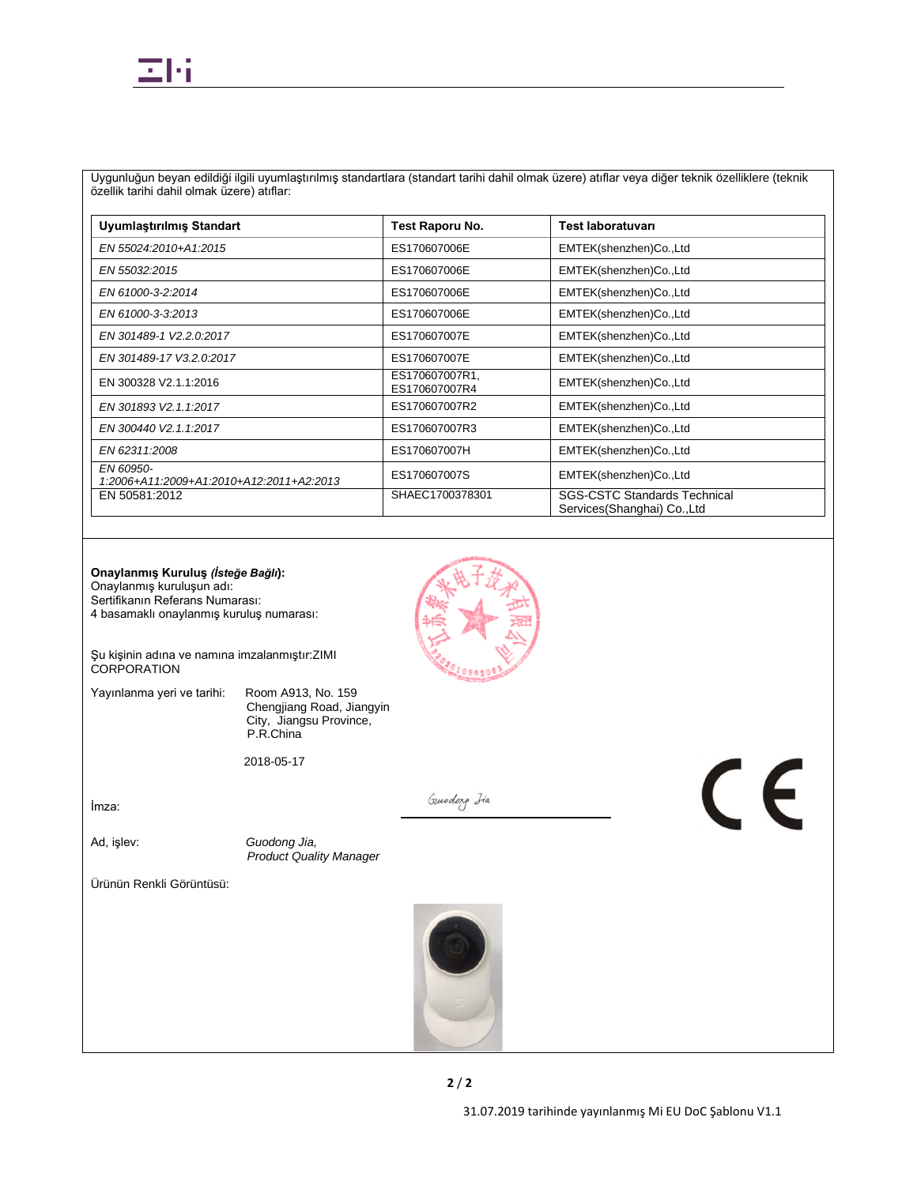Uygunluğun beyan edildiği ilgili uyumlaştırılmış standartlara (standart tarihi dahil olmak üzere) atıflar veya diğer teknik özelliklere (teknik özellik tarihi dahil olmak üzere) atıflar:

| Uyumlaştırılmış Standart                              | Test Raporu No.                 | <b>Test laboratuvari</b>                                           |
|-------------------------------------------------------|---------------------------------|--------------------------------------------------------------------|
| EN 55024:2010+A1:2015                                 | ES170607006E                    | EMTEK(shenzhen)Co.,Ltd                                             |
| EN 55032:2015                                         | ES170607006E                    | EMTEK(shenzhen)Co.,Ltd                                             |
| EN 61000-3-2:2014                                     | ES170607006E                    | EMTEK(shenzhen)Co.,Ltd                                             |
| EN 61000-3-3:2013                                     | ES170607006E                    | EMTEK(shenzhen)Co.,Ltd                                             |
| EN 301489-1 V2.2.0:2017                               | ES170607007E                    | EMTEK(shenzhen)Co.,Ltd                                             |
| EN 301489-17 V3.2.0:2017                              | ES170607007E                    | EMTEK(shenzhen)Co.,Ltd                                             |
| EN 300328 V2.1.1:2016                                 | ES170607007R1,<br>ES170607007R4 | EMTEK(shenzhen)Co.,Ltd                                             |
| EN 301893 V2.1.1:2017                                 | ES170607007R2                   | EMTEK(shenzhen)Co.,Ltd                                             |
| EN 300440 V2.1.1:2017                                 | ES170607007R3                   | EMTEK(shenzhen)Co.,Ltd                                             |
| EN 62311:2008                                         | ES170607007H                    | EMTEK(shenzhen)Co.,Ltd                                             |
| EN 60950-<br>1:2006+A11:2009+A1:2010+A12:2011+A2:2013 | ES170607007S                    | EMTEK(shenzhen)Co.,Ltd                                             |
| EN 50581:2012                                         | SHAEC1700378301                 | <b>SGS-CSTC Standards Technical</b><br>Services(Shanghai) Co., Ltd |



Şu kişinin adına ve namına imzalanmıştır:ZIMI CORPORATION

Yayınlanma yeri ve tarihi: Room A913, No. 159

Chengjiang Road, Jiangyin City, Jiangsu Province, P.R.China

2018-05-17

İmza:

Ad, işlev: *Guodong Jia, Product Quality Manager*

Ürünün Renkli Görüntüsü:



Gundong Isa

 $C \in$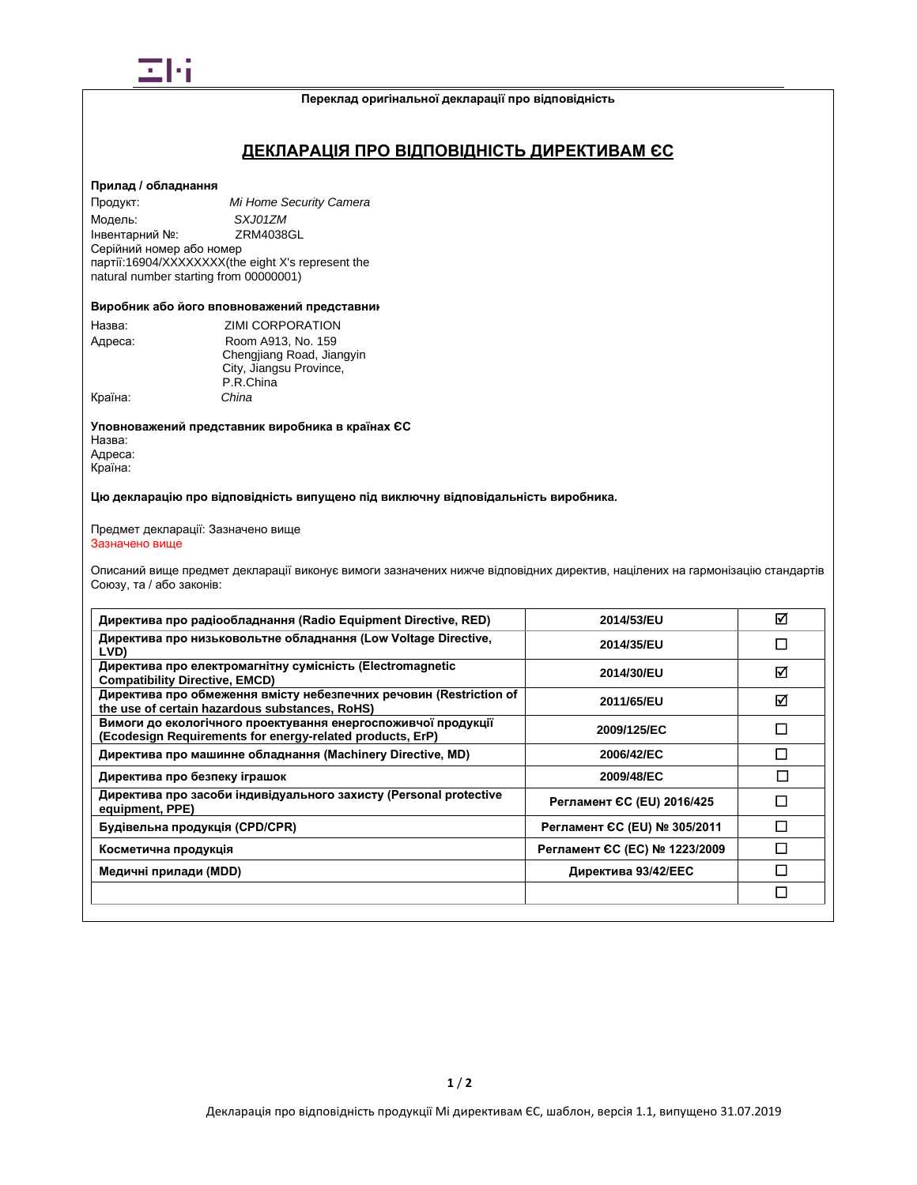

#### **Переклад оригінальної декларації про відповідність**

# **ДЕКЛАРАЦІЯ ПРО ВІДПОВІДНІСТЬ ДИРЕКТИВАМ ЄС**

### **Прилад / обладнання**

Продукт: *Mi Home Security Camera* Модель: *SXJ01ZM* Інвентарний №: Серійний номер або номер партії:16904/XXXXXXXX(the eight X's represent the natural number starting from 00000001)

#### **Виробник або його вповноважений представник**

| Назва:  | <b>ZIMI CORPORATION</b>   |  |
|---------|---------------------------|--|
| Адреса: | Room A913, No. 159        |  |
|         | Chengjiang Road, Jiangyin |  |
|         | City, Jiangsu Province,   |  |
|         | P.R.China                 |  |
| Країна: | China                     |  |

**Уповноважений представник виробника в країнах ЄС** Назва: Адреса: Країна:

**Цю декларацію про відповідність випущено під виключну відповідальність виробника.**

#### Предмет декларації: Зазначено вище Зазначено вище

Описаний вище предмет декларації виконує вимоги зазначених нижче відповідних директив, націлених на гармонізацію стандартів Союзу, та / або законів:

| Директива про радіообладнання (Radio Equipment Directive, RED)                                                             | 2014/53/EU                    | ⊠            |
|----------------------------------------------------------------------------------------------------------------------------|-------------------------------|--------------|
| Директива про низьковольтне обладнання (Low Voltage Directive,<br>LVD)                                                     | 2014/35/EU                    | $\mathbf{I}$ |
| Директива про електромагнітну сумісність (Electromagnetic<br><b>Compatibility Directive, EMCD)</b>                         | 2014/30/EU                    | ⊠            |
| Директива про обмеження вмісту небезпечних речовин (Restriction of<br>the use of certain hazardous substances, RoHS)       | 2011/65/EU                    | ☑            |
| Вимоги до екологічного проектування енергоспоживчої продукції<br>(Ecodesign Requirements for energy-related products, ErP) | 2009/125/EC                   | П            |
| Директива про машинне обладнання (Machinery Directive, MD)                                                                 | 2006/42/EC                    | П            |
| Директива про безпеку іграшок                                                                                              | 2009/48/EC                    |              |
| Директива про засоби індивідуального захисту (Personal protective<br>equipment, PPE)                                       | Регламент СС (EU) 2016/425    |              |
| Будівельна продукція (CPD/CPR)                                                                                             | Регламент ЄС (EU) № 305/2011  |              |
| Косметична продукція                                                                                                       | Регламент ЄС (ЕС) № 1223/2009 |              |
| Медичні прилади (MDD)                                                                                                      | Директива 93/42/ЕЕС           |              |
|                                                                                                                            |                               | П            |